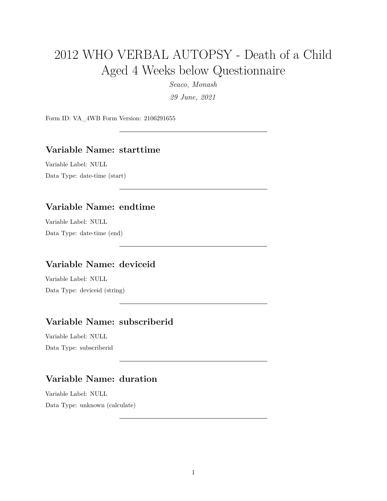# 2012 WHO VERBAL AUTOPSY - Death of a Child Aged 4 Weeks below Questionnaire

*Seaco, Monash*

*29 June, 2021*

Form ID: VA\_4WB Form Version: 2106291655

#### **Variable Name: starttime**

Variable Label: NULL Data Type: date-time (start)

### **Variable Name: endtime**

Variable Label: NULL Data Type: date-time (end)

### **Variable Name: deviceid**

Variable Label: NULL Data Type: deviceid (string)

# **Variable Name: subscriberid**

Variable Label: NULL Data Type: subscriberid

# **Variable Name: duration**

Variable Label: NULL Data Type: unknown (calculate)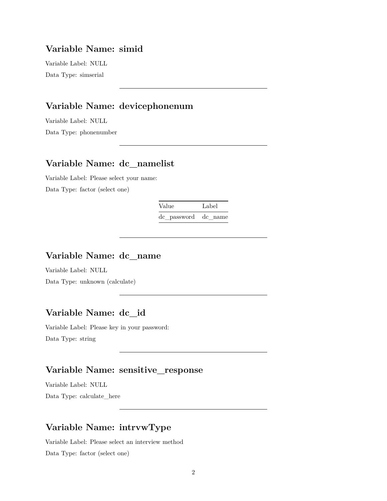#### **Variable Name: simid**

Variable Label: NULL Data Type: simserial

### **Variable Name: devicephonenum**

Variable Label: NULL Data Type: phonenumber

### **Variable Name: dc\_namelist**

Variable Label: Please select your name: Data Type: factor (select one)

Value Label

dc\_password dc\_name

### **Variable Name: dc\_name**

Variable Label: NULL Data Type: unknown (calculate)

### **Variable Name: dc\_id**

Variable Label: Please key in your password: Data Type: string

# **Variable Name: sensitive\_response**

Variable Label: NULL Data Type: calculate\_here

# **Variable Name: intrvwType**

Variable Label: Please select an interview method Data Type: factor (select one)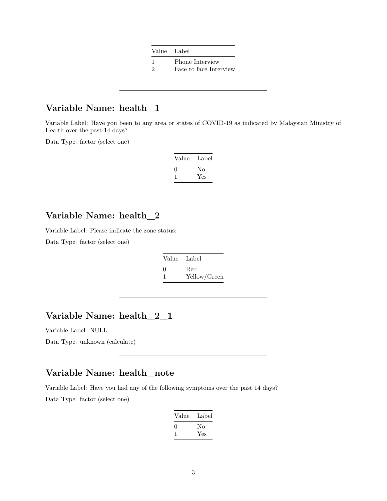| Value Label            |
|------------------------|
| Phone Interview        |
| Face to face Interview |

### **Variable Name: health\_1**

Variable Label: Have you been to any area or states of COVID-19 as indicated by Malaysian Ministry of Health over the past 14 days?

Data Type: factor (select one)

| Value             | Label |
|-------------------|-------|
| $\mathbf{\Omega}$ | No    |
|                   | Yes   |

### **Variable Name: health\_2**

Variable Label: Please indicate the zone status:

Data Type: factor (select one)

| Value Label              |              |
|--------------------------|--------------|
| $\left( \right)$         | Red          |
| $\overline{\phantom{a}}$ | Yellow/Green |

# **Variable Name: health\_2\_1**

Variable Label: NULL

Data Type: unknown (calculate)

### **Variable Name: health\_note**

Variable Label: Have you had any of the following symptoms over the past 14 days? Data Type: factor (select one)

| Value        | Label |
|--------------|-------|
| $\mathbf{I}$ | Nο    |
|              | Yes   |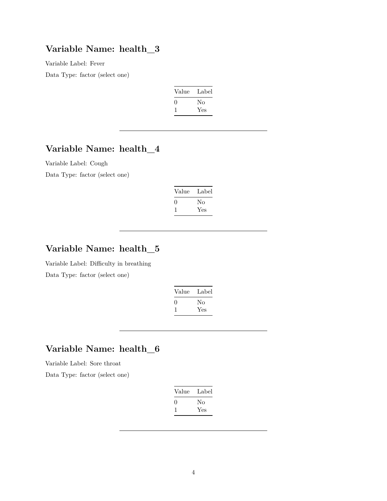### **Variable Name: health\_3**

Variable Label: Fever

Data Type: factor (select one)

| Label |
|-------|
| Nο    |
| Yes   |
|       |

# **Variable Name: health\_4**

Variable Label: Cough Data Type: factor (select one)

| Value             | Label |
|-------------------|-------|
| $\mathbf{\Omega}$ | No    |
|                   | Yes   |

# **Variable Name: health\_5**

Variable Label: Difficulty in breathing Data Type: factor (select one)

| Value | Label |
|-------|-------|
| 0     | Nο    |
|       | Yes   |

# **Variable Name: health\_6**

Variable Label: Sore throat

| Value | Label |
|-------|-------|
| 0     | Nο    |
|       | Yes   |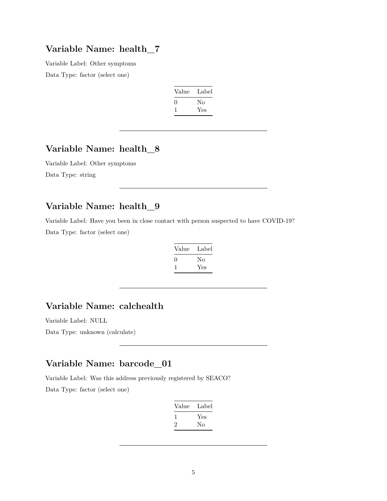### **Variable Name: health\_7**

Variable Label: Other symptoms Data Type: factor (select one)

| Label |
|-------|
| No    |
| Yes   |
|       |

# **Variable Name: health\_8**

Variable Label: Other symptoms Data Type: string

# **Variable Name: health\_9**

Variable Label: Have you been in close contact with person suspected to have COVID-19? Data Type: factor (select one)

| Value | Label |
|-------|-------|
| 0     | No    |
|       | Yes   |

# **Variable Name: calchealth**

Variable Label: NULL

Data Type: unknown (calculate)

# **Variable Name: barcode\_01**

Variable Label: Was this address previously registered by SEACO?

| Label |
|-------|
| Yes   |
| Nο    |
|       |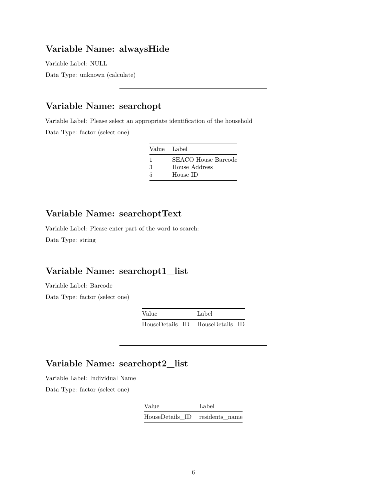# **Variable Name: alwaysHide**

Variable Label: NULL Data Type: unknown (calculate)

## **Variable Name: searchopt**

Variable Label: Please select an appropriate identification of the household Data Type: factor (select one)

| Value Label |                     |
|-------------|---------------------|
| -1          | SEACO House Barcode |
| 3           | House Address       |
| 5           | House ID            |

# **Variable Name: searchoptText**

Variable Label: Please enter part of the word to search: Data Type: string

# **Variable Name: searchopt1\_list**

Variable Label: Barcode

Data Type: factor (select one)

| Value           | Label           |
|-----------------|-----------------|
| HouseDetails ID | HouseDetails ID |

# **Variable Name: searchopt2\_list**

Variable Label: Individual Name

| Value                          | Label |  |
|--------------------------------|-------|--|
| HouseDetails ID residents name |       |  |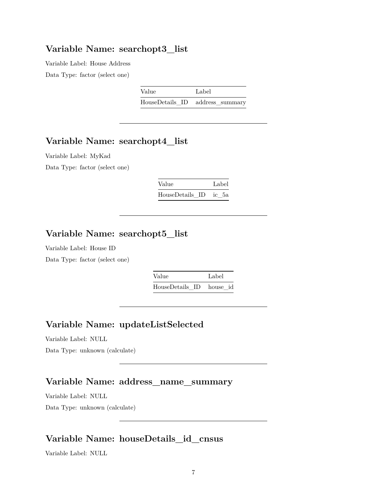#### **Variable Name: searchopt3\_list**

Variable Label: House Address Data Type: factor (select one)

| Value | Label                           |
|-------|---------------------------------|
|       | HouseDetails ID address summary |

### **Variable Name: searchopt4\_list**

Variable Label: MyKad Data Type: factor (select one)

| Value                 |  | Label |
|-----------------------|--|-------|
| HouseDetails ID ic 5a |  |       |

# **Variable Name: searchopt5\_list**

Variable Label: House ID

Data Type: factor (select one)

| Value                    | Label |  |
|--------------------------|-------|--|
| HouseDetails_ID house_id |       |  |

# **Variable Name: updateListSelected**

Variable Label: NULL

Data Type: unknown (calculate)

### **Variable Name: address\_name\_summary**

Variable Label: NULL Data Type: unknown (calculate)

### **Variable Name: houseDetails\_id\_cnsus**

Variable Label: NULL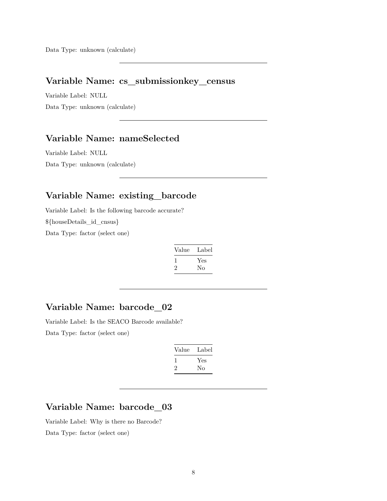Data Type: unknown (calculate)

### **Variable Name: cs\_submissionkey\_census**

Variable Label: NULL Data Type: unknown (calculate)

# **Variable Name: nameSelected**

Variable Label: NULL Data Type: unknown (calculate)

# **Variable Name: existing\_barcode**

Variable Label: Is the following barcode accurate? \${houseDetails\_id\_cnsus} Data Type: factor (select one)

| Value | Label |
|-------|-------|
|       | Yes   |
| ۰,    | Nο    |

### **Variable Name: barcode\_02**

Variable Label: Is the SEACO Barcode available? Data Type: factor (select one)

| Value | Label |
|-------|-------|
|       | Yes   |
| ۰,    | Nο    |

# **Variable Name: barcode\_03**

Variable Label: Why is there no Barcode? Data Type: factor (select one)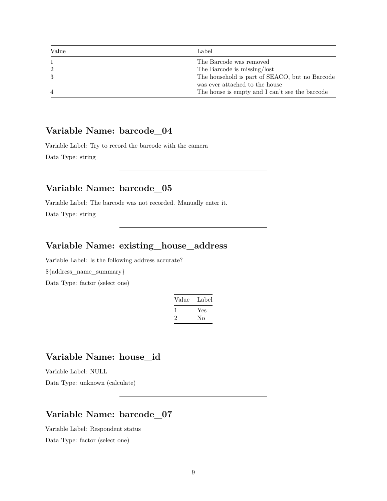| Value          | Label                                          |
|----------------|------------------------------------------------|
|                | The Barcode was removed                        |
| $\overline{2}$ | The Barcode is missing/lost                    |
|                | The household is part of SEACO, but no Barcode |
|                | was ever attached to the house                 |
| $\overline{4}$ | The house is empty and I can't see the barcode |

### **Variable Name: barcode\_04**

Variable Label: Try to record the barcode with the camera Data Type: string

### **Variable Name: barcode\_05**

Variable Label: The barcode was not recorded. Manually enter it.

Data Type: string

#### **Variable Name: existing\_house\_address**

Variable Label: Is the following address accurate? \${address\_name\_summary} Data Type: factor (select one)

| Value | Label |
|-------|-------|
| -1    | Yes   |
| ν.    | No    |
|       |       |

# **Variable Name: house\_id**

Variable Label: NULL

Data Type: unknown (calculate)

# **Variable Name: barcode\_07**

Variable Label: Respondent status Data Type: factor (select one)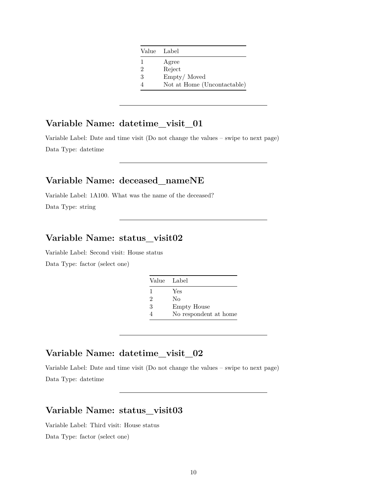|   | Value Label                 |
|---|-----------------------------|
| 1 | Agree                       |
| 2 | Reject                      |
| 3 | Empty/Moved                 |
|   | Not at Home (Uncontactable) |

# **Variable Name: datetime\_visit\_01**

Variable Label: Date and time visit (Do not change the values – swipe to next page) Data Type: datetime

### **Variable Name: deceased\_nameNE**

Variable Label: 1A100. What was the name of the deceased? Data Type: string

# **Variable Name: status\_visit02**

Variable Label: Second visit: House status Data Type: factor (select one)

|                | Value Label           |
|----------------|-----------------------|
| 1              | Yes                   |
| $\mathfrak{D}$ | No                    |
| 3              | <b>Empty House</b>    |
|                | No respondent at home |

### **Variable Name: datetime\_visit\_02**

Variable Label: Date and time visit (Do not change the values – swipe to next page) Data Type: datetime

# **Variable Name: status\_visit03**

Variable Label: Third visit: House status Data Type: factor (select one)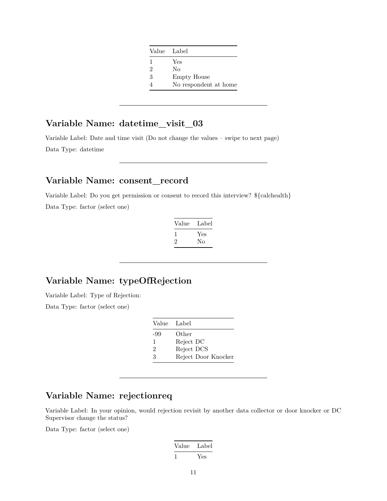|   | Value Label           |
|---|-----------------------|
| 1 | Yes                   |
| 2 | Nο                    |
| 3 | Empty House           |
|   | No respondent at home |
|   |                       |

# **Variable Name: datetime\_visit\_03**

Variable Label: Date and time visit (Do not change the values – swipe to next page) Data Type: datetime

# **Variable Name: consent\_record**

Variable Label: Do you get permission or consent to record this interview? \${calchealth} Data Type: factor (select one)

| Value   | Label |
|---------|-------|
| L       | Yes   |
| $\cdot$ | Nο    |

# **Variable Name: typeOfRejection**

Variable Label: Type of Rejection:

Data Type: factor (select one)

| Value Label    |                     |
|----------------|---------------------|
| -99            | Other               |
| 1              | Reject DC           |
| $\overline{2}$ | Reject DCS          |
| 3              | Reject Door Knocker |

# **Variable Name: rejectionreq**

Variable Label: In your opinion, would rejection revisit by another data collector or door knocker or DC Supervisor change the status?

Value Label 1 Yes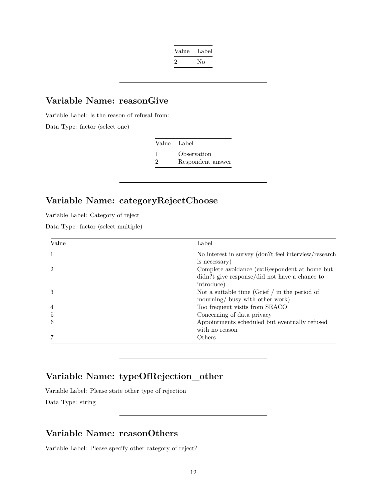| Value   | Label |
|---------|-------|
| $\cdot$ | Nο    |

# **Variable Name: reasonGive**

Variable Label: Is the reason of refusal from:

Data Type: factor (select one)

| Value Label   |                   |
|---------------|-------------------|
| -1            | Observation       |
| $\mathcal{D}$ | Respondent answer |

# **Variable Name: categoryRejectChoose**

Variable Label: Category of reject

Data Type: factor (select multiple)

| Value          | Label                                                                                 |
|----------------|---------------------------------------------------------------------------------------|
|                | No interest in survey (don?t feel interview/research<br>is necessary)                 |
| $\mathcal{D}$  | Complete avoidance (ex:Respondent at home but                                         |
|                | didn?t give response/did not have a chance to                                         |
| 3              | introduce)                                                                            |
|                | Not a suitable time (Grief $\int$ in the period of<br>mourning/ busy with other work) |
| $\overline{4}$ | Too frequent visits from SEACO                                                        |
| 5              | Concerning of data privacy                                                            |
| 6              | Appointments scheduled but eventually refused                                         |
|                | with no reason                                                                        |
|                | Others                                                                                |

### **Variable Name: typeOfRejection\_other**

Variable Label: Please state other type of rejection

Data Type: string

# **Variable Name: reasonOthers**

Variable Label: Please specify other category of reject?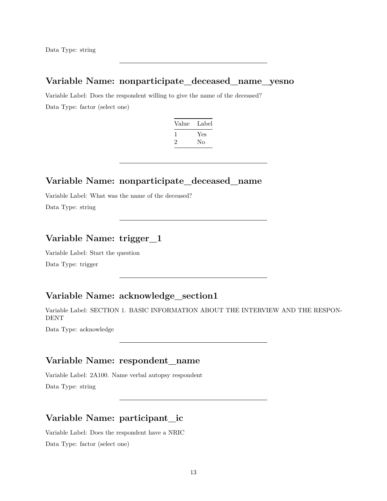Data Type: string

### **Variable Name: nonparticipate\_deceased\_name\_yesno**

Variable Label: Does the respondent willing to give the name of the deceased? Data Type: factor (select one)

| Value | Label |
|-------|-------|
|       | Yes   |
| '2    | Nο    |

#### **Variable Name: nonparticipate\_deceased\_name**

Variable Label: What was the name of the deceased? Data Type: string

### **Variable Name: trigger\_1**

Variable Label: Start the question

Data Type: trigger

### **Variable Name: acknowledge\_section1**

Variable Label: SECTION 1. BASIC INFORMATION ABOUT THE INTERVIEW AND THE RESPON-DENT

Data Type: acknowledge

#### **Variable Name: respondent\_name**

Variable Label: 2A100. Name verbal autopsy respondent Data Type: string

# **Variable Name: participant\_ic**

Variable Label: Does the respondent have a NRIC Data Type: factor (select one)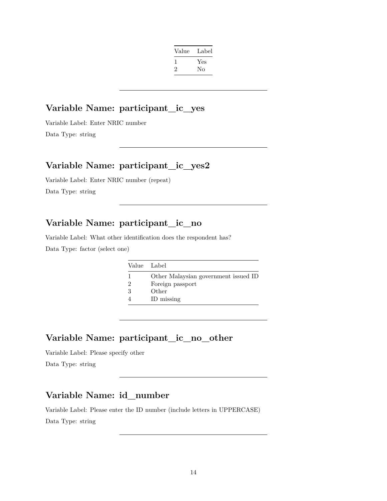|     | Label | Value |
|-----|-------|-------|
| Yes |       |       |
| Nο  |       | '2    |
|     |       |       |

### **Variable Name: participant\_ic\_yes**

Variable Label: Enter NRIC number Data Type: string

### **Variable Name: participant\_ic\_yes2**

Variable Label: Enter NRIC number (repeat) Data Type: string

### **Variable Name: participant\_ic\_no**

Variable Label: What other identification does the respondent has? Data Type: factor (select one)

|   | Value Label                          |
|---|--------------------------------------|
|   | Other Malaysian government issued ID |
| 2 | Foreign passport                     |
| 3 | Other                                |
|   | ID missing                           |

### **Variable Name: participant\_ic\_no\_other**

Variable Label: Please specify other Data Type: string

# **Variable Name: id\_number**

Variable Label: Please enter the ID number (include letters in UPPERCASE)

Data Type: string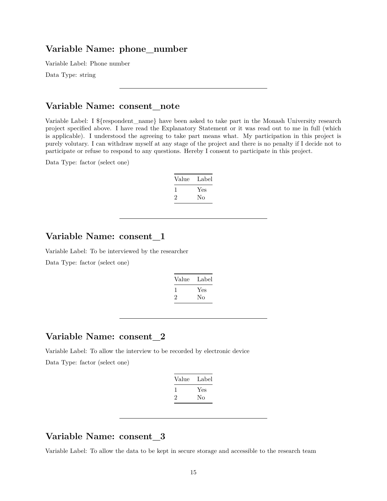#### **Variable Name: phone\_number**

Variable Label: Phone number

Data Type: string

#### **Variable Name: consent\_note**

Variable Label: I \${respondent\_name} have been asked to take part in the Monash University research project specified above. I have read the Explanatory Statement or it was read out to me in full (which is applicable). I understood the agreeing to take part means what. My participation in this project is purely volutary. I can withdraw myself at any stage of the project and there is no penalty if I decide not to participate or refuse to respond to any questions. Hereby I consent to participate in this project.

Data Type: factor (select one)

| Value | Label |
|-------|-------|
|       | Yes   |
| ۰,    | Nο    |

### **Variable Name: consent\_1**

Variable Label: To be interviewed by the researcher Data Type: factor (select one)

| Value   | Label |
|---------|-------|
| L       | Yes   |
| $\cdot$ | Nο    |

#### **Variable Name: consent\_2**

Variable Label: To allow the interview to be recorded by electronic device Data Type: factor (select one)

| Label |
|-------|
| Yes   |
| Nο    |
|       |

### **Variable Name: consent\_3**

Variable Label: To allow the data to be kept in secure storage and accessible to the research team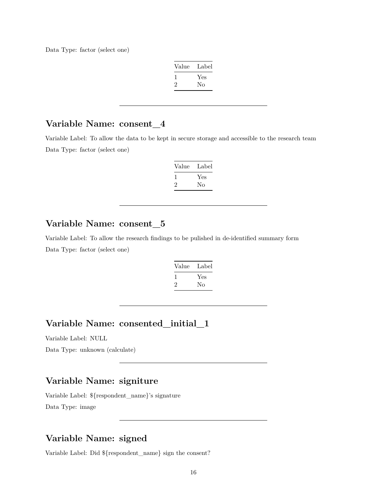Data Type: factor (select one)

| Label |
|-------|
| Yes   |
| No    |
|       |

### **Variable Name: consent\_4**

Variable Label: To allow the data to be kept in secure storage and accessible to the research team Data Type: factor (select one)

| Value | Label     |
|-------|-----------|
|       | Yes<br>Nο |
|       |           |

# **Variable Name: consent\_5**

Variable Label: To allow the research findings to be pulished in de-identified summary form Data Type: factor (select one)

| Value   | Label |
|---------|-------|
| 1       | Yes   |
| $\cdot$ | Nο    |

## **Variable Name: consented\_initial\_1**

Variable Label: NULL

Data Type: unknown (calculate)

### **Variable Name: signiture**

Variable Label: \${respondent\_name}'s signature Data Type: image

#### **Variable Name: signed**

Variable Label: Did \${respondent\_name} sign the consent?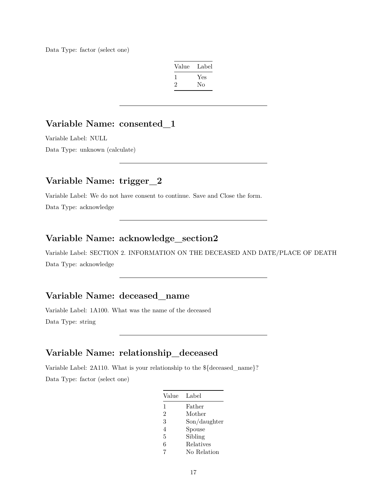Data Type: factor (select one)

| Label |
|-------|
| Yes   |
| Nο    |
|       |

### **Variable Name: consented\_1**

Variable Label: NULL

Data Type: unknown (calculate)

### **Variable Name: trigger\_2**

Variable Label: We do not have consent to continue. Save and Close the form.

Data Type: acknowledge

### **Variable Name: acknowledge\_section2**

Variable Label: SECTION 2. INFORMATION ON THE DECEASED AND DATE/PLACE OF DEATH Data Type: acknowledge

# **Variable Name: deceased\_name**

Variable Label: 1A100. What was the name of the deceased Data Type: string

### **Variable Name: relationship\_deceased**

Variable Label: 2A110. What is your relationship to the \${deceased\_name}? Data Type: factor (select one)

| Value          | Label        |
|----------------|--------------|
| 1              | Father       |
| $\overline{2}$ | Mother       |
| 3              | Son/daughter |
| 4              | Spouse       |
| 5              | Sibling      |
| 6              | Relatives    |
| 7              | No Relation  |
|                |              |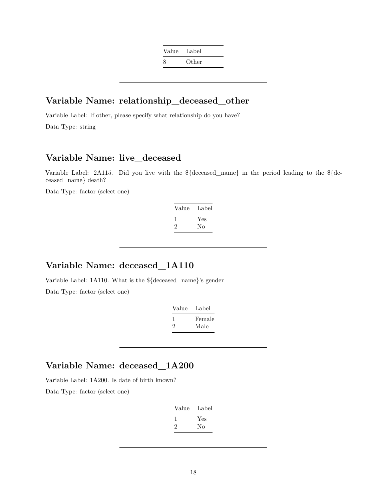| Value | Label |
|-------|-------|
| 8     | Other |

### **Variable Name: relationship\_deceased\_other**

Variable Label: If other, please specify what relationship do you have? Data Type: string

### **Variable Name: live\_deceased**

Variable Label: 2A115. Did you live with the \${deceased\_name} in the period leading to the \${deceased\_name} death?

Data Type: factor (select one)

| Value | Label |
|-------|-------|
|       | Yes   |
| ۰,    | Nο    |

# **Variable Name: deceased\_1A110**

Variable Label: 1A110. What is the \${deceased\_name}'s gender Data Type: factor (select one)

| Value | Label          |
|-------|----------------|
| '2    | Female<br>Male |

### **Variable Name: deceased\_1A200**

Variable Label: 1A200. Is date of birth known?

| Value          | Label |
|----------------|-------|
| L              | Yes   |
| $\mathfrak{D}$ | Nο    |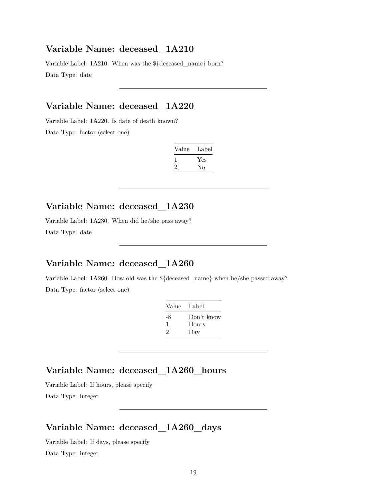#### **Variable Name: deceased\_1A210**

Variable Label: 1A210. When was the \${deceased\_name} born? Data Type: date

### **Variable Name: deceased\_1A220**

Variable Label: 1A220. Is date of death known? Data Type: factor (select one)

| Value        | Label |
|--------------|-------|
| $\mathbf{I}$ | Yes   |
| ۰,           | Nο    |

# **Variable Name: deceased\_1A230**

Variable Label: 1A230. When did he/she pass away? Data Type: date

# **Variable Name: deceased\_1A260**

Variable Label: 1A260. How old was the \${deceased\_name} when he/she passed away? Data Type: factor (select one)

| Value Label  |                            |
|--------------|----------------------------|
| -8<br>1<br>2 | Don't know<br>Hours<br>Day |
|              |                            |

### **Variable Name: deceased\_1A260\_hours**

Variable Label: If hours, please specify Data Type: integer

### **Variable Name: deceased\_1A260\_days**

Variable Label: If days, please specify Data Type: integer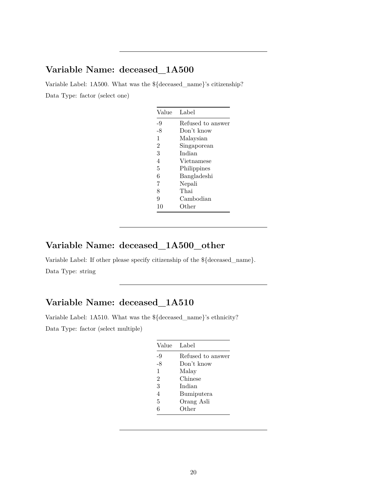### **Variable Name: deceased\_1A500**

Variable Label: 1A500. What was the \${deceased\_name}'s citizenship? Data Type: factor (select one)

| Value          | Label             |
|----------------|-------------------|
| -9             | Refused to answer |
| -8             | Don't know        |
| 1              | Malaysian         |
| $\mathfrak{D}$ | Singaporean       |
| 3              | Indian            |
| 4              | Vietnamese        |
| 5              | Philippines       |
| 6              | Bangladeshi       |
| 7              | Nepali            |
| 8              | Thai              |
| 9              | Cambodian         |
| 10             | Other             |
|                |                   |

### **Variable Name: deceased\_1A500\_other**

Variable Label: If other please specify citizenship of the \${deceased\_name}. Data Type: string

# **Variable Name: deceased\_1A510**

Variable Label: 1A510. What was the \${deceased\_name}'s ethnicity? Data Type: factor (select multiple)

| Refused to answer |
|-------------------|
|                   |
|                   |
|                   |
|                   |
|                   |
|                   |
|                   |
|                   |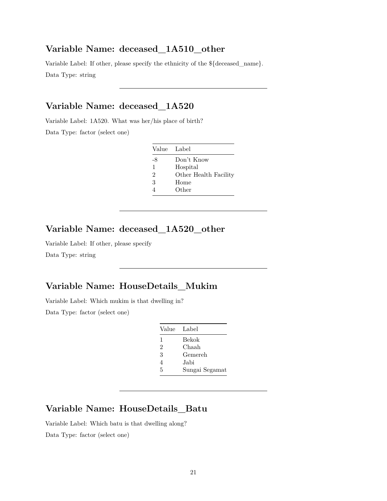#### **Variable Name: deceased\_1A510\_other**

Variable Label: If other, please specify the ethnicity of the \${deceased\_name}. Data Type: string

# **Variable Name: deceased\_1A520**

Variable Label: 1A520. What was her/his place of birth? Data Type: factor (select one)

| Value Label    |                       |
|----------------|-----------------------|
| -8             | Don't Know            |
| 1              | Hospital              |
| $\mathfrak{D}$ | Other Health Facility |
| 3              | Home                  |
|                | Other                 |

### **Variable Name: deceased\_1A520\_other**

Variable Label: If other, please specify

Data Type: string

# **Variable Name: HouseDetails\_Mukim**

Variable Label: Which mukim is that dwelling in? Data Type: factor (select one)

| Value          | Label          |
|----------------|----------------|
| 1              | Bekok          |
| $\mathfrak{D}$ | Chaah          |
| 3              | Gemereh        |
| 4              | Jabi           |
| 5              | Sungai Segamat |

# **Variable Name: HouseDetails\_Batu**

Variable Label: Which batu is that dwelling along? Data Type: factor (select one)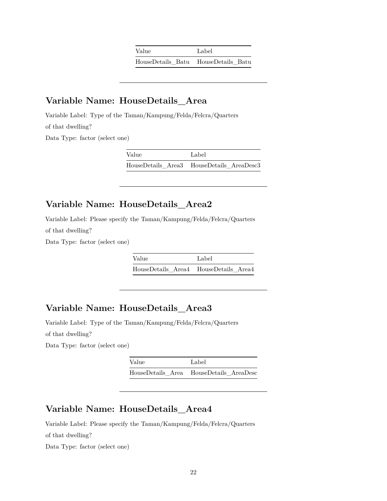| Value | Label                               |
|-------|-------------------------------------|
|       | HouseDetails Batu HouseDetails Batu |

### **Variable Name: HouseDetails\_Area**

Variable Label: Type of the Taman/Kampung/Felda/Felcra/Quarters of that dwelling?

Data Type: factor (select one)

Value Label HouseDetails\_Area3 HouseDetails\_AreaDesc3

### **Variable Name: HouseDetails\_Area2**

Variable Label: Please specify the Taman/Kampung/Felda/Felcra/Quarters of that dwelling?

Data Type: factor (select one)

| Value | Label                                 |
|-------|---------------------------------------|
|       | HouseDetails Area4 HouseDetails Area4 |

### **Variable Name: HouseDetails\_Area3**

Variable Label: Type of the Taman/Kampung/Felda/Felcra/Quarters of that dwelling?

Data Type: factor (select one)

| Value | Label                                   |
|-------|-----------------------------------------|
|       | HouseDetails Area HouseDetails AreaDesc |

### **Variable Name: HouseDetails\_Area4**

Variable Label: Please specify the Taman/Kampung/Felda/Felcra/Quarters of that dwelling?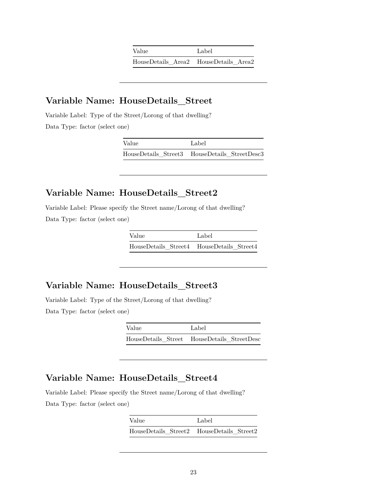| Value                                 | Label |
|---------------------------------------|-------|
| HouseDetails Area2 HouseDetails Area2 |       |

### **Variable Name: HouseDetails\_Street**

Variable Label: Type of the Street/Lorong of that dwelling? Data Type: factor (select one)

| Value | Label                                         |
|-------|-----------------------------------------------|
|       | HouseDetails Street3 HouseDetails StreetDesc3 |

### **Variable Name: HouseDetails\_Street2**

Variable Label: Please specify the Street name/Lorong of that dwelling? Data Type: factor (select one)

| Value                                     | Label |
|-------------------------------------------|-------|
| HouseDetails Street4 HouseDetails Street4 |       |

#### **Variable Name: HouseDetails\_Street3**

Variable Label: Type of the Street/Lorong of that dwelling? Data Type: factor (select one)

> Value Label HouseDetails\_Street HouseDetails\_StreetDesc

### **Variable Name: HouseDetails\_Street4**

Variable Label: Please specify the Street name/Lorong of that dwelling? Data Type: factor (select one)

| Value                                     | Label |
|-------------------------------------------|-------|
| HouseDetails Street2 HouseDetails Street2 |       |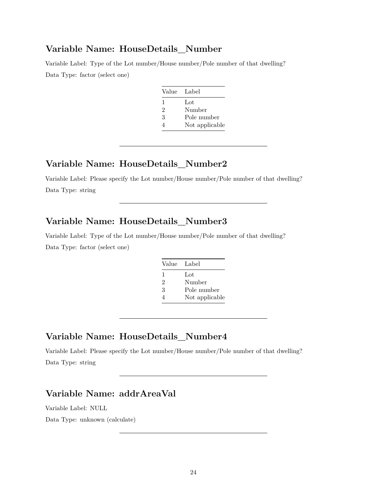#### **Variable Name: HouseDetails\_Number**

Variable Label: Type of the Lot number/House number/Pole number of that dwelling? Data Type: factor (select one)

| Value Label |                |
|-------------|----------------|
| L           | Lot            |
| 2           | Number         |
| 3           | Pole number    |
|             | Not applicable |

### **Variable Name: HouseDetails\_Number2**

Variable Label: Please specify the Lot number/House number/Pole number of that dwelling? Data Type: string

### **Variable Name: HouseDetails\_Number3**

Variable Label: Type of the Lot number/House number/Pole number of that dwelling? Data Type: factor (select one)

| Value Label |                |
|-------------|----------------|
| 1           | Lot            |
| 2           | Number         |
| 3           | Pole number    |
|             | Not applicable |

#### **Variable Name: HouseDetails\_Number4**

Variable Label: Please specify the Lot number/House number/Pole number of that dwelling? Data Type: string

## **Variable Name: addrAreaVal**

Variable Label: NULL

Data Type: unknown (calculate)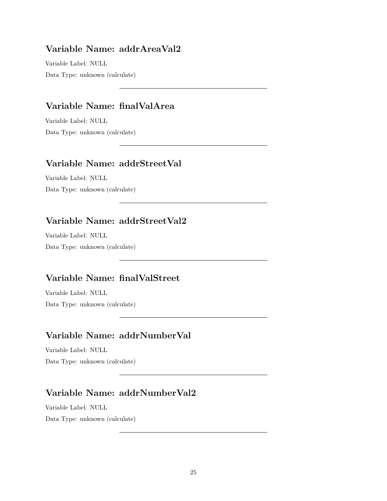### **Variable Name: addrAreaVal2**

Variable Label: NULL Data Type: unknown (calculate)

### **Variable Name: finalValArea**

Variable Label: NULL Data Type: unknown (calculate)

### **Variable Name: addrStreetVal**

Variable Label: NULL Data Type: unknown (calculate)

# **Variable Name: addrStreetVal2**

Variable Label: NULL Data Type: unknown (calculate)

# **Variable Name: finalValStreet**

Variable Label: NULL Data Type: unknown (calculate)

### **Variable Name: addrNumberVal**

Variable Label: NULL Data Type: unknown (calculate)

# **Variable Name: addrNumberVal2**

Variable Label: NULL Data Type: unknown (calculate)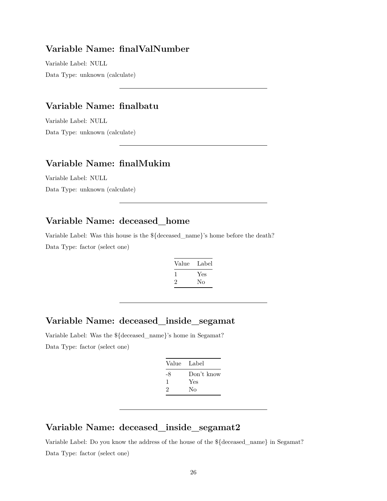#### **Variable Name: finalValNumber**

Variable Label: NULL Data Type: unknown (calculate)

### **Variable Name: finalbatu**

Variable Label: NULL Data Type: unknown (calculate)

### **Variable Name: finalMukim**

Variable Label: NULL Data Type: unknown (calculate)

### **Variable Name: deceased\_home**

Variable Label: Was this house is the \${deceased\_name}'s home before the death? Data Type: factor (select one)

| Value        | Label |
|--------------|-------|
| $\mathbf{I}$ | Yes   |
| ۰,           | Nο    |

### **Variable Name: deceased\_inside\_segamat**

Variable Label: Was the \${deceased\_name}'s home in Segamat? Data Type: factor (select one)

| Value | - Label    |
|-------|------------|
| -8    | Don't know |
| J.    | Yes        |
| 2     | Nο         |

# **Variable Name: deceased\_inside\_segamat2**

Variable Label: Do you know the address of the house of the \${deceased\_name} in Segamat? Data Type: factor (select one)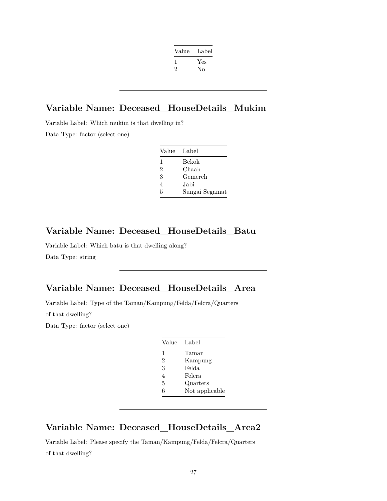| Value | Label |
|-------|-------|
|       | Yes   |
| '2    | No    |
|       |       |

# **Variable Name: Deceased\_HouseDetails\_Mukim**

Variable Label: Which mukim is that dwelling in? Data Type: factor (select one)

| - Label        |
|----------------|
| Bekok          |
| Chaah          |
| Gemereh        |
| Jabi           |
| Sungai Segamat |
|                |

### **Variable Name: Deceased\_HouseDetails\_Batu**

Variable Label: Which batu is that dwelling along? Data Type: string

# **Variable Name: Deceased\_HouseDetails\_Area**

Variable Label: Type of the Taman/Kampung/Felda/Felcra/Quarters

of that dwelling?

Data Type: factor (select one)

| Value          | Label          |
|----------------|----------------|
| 1              | Taman          |
| $\overline{2}$ | Kampung        |
| 3              | Felda          |
| 4              | Felcra         |
| 5              | Quarters       |
| 6              | Not applicable |
|                |                |

# **Variable Name: Deceased\_HouseDetails\_Area2**

Variable Label: Please specify the Taman/Kampung/Felda/Felcra/Quarters of that dwelling?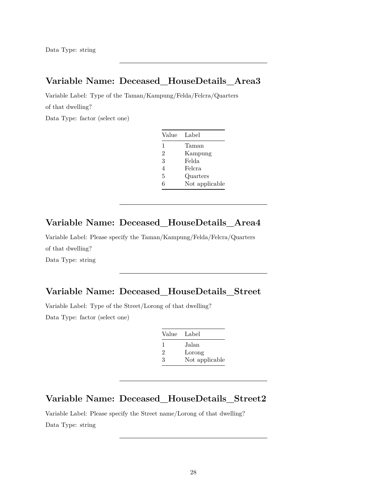### **Variable Name: Deceased\_HouseDetails\_Area3**

Variable Label: Type of the Taman/Kampung/Felda/Felcra/Quarters

of that dwelling?

Data Type: factor (select one)

| Value | - Label        |
|-------|----------------|
| 1     | Taman          |
| 2     | Kampung        |
| 3     | Felda          |
| 4     | Felcra         |
| 5     | Quarters       |
| 6     | Not applicable |

#### **Variable Name: Deceased\_HouseDetails\_Area4**

Variable Label: Please specify the Taman/Kampung/Felda/Felcra/Quarters of that dwelling? Data Type: string

### **Variable Name: Deceased\_HouseDetails\_Street**

Variable Label: Type of the Street/Lorong of that dwelling?

Data Type: factor (select one)

| Value Label    |                |
|----------------|----------------|
| $\mathbf{I}$   | Jalan          |
| $\mathfrak{D}$ | Lorong         |
| З              | Not applicable |

### **Variable Name: Deceased\_HouseDetails\_Street2**

Variable Label: Please specify the Street name/Lorong of that dwelling? Data Type: string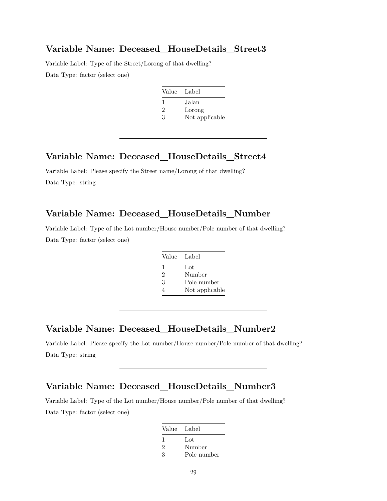#### **Variable Name: Deceased\_HouseDetails\_Street3**

Variable Label: Type of the Street/Lorong of that dwelling? Data Type: factor (select one)

| Value Label  |                |
|--------------|----------------|
| $\mathbf{I}$ | Jalan          |
| 2            | Lorong         |
| 3            | Not applicable |

#### **Variable Name: Deceased\_HouseDetails\_Street4**

Variable Label: Please specify the Street name/Lorong of that dwelling? Data Type: string

## **Variable Name: Deceased\_HouseDetails\_Number**

Variable Label: Type of the Lot number/House number/Pole number of that dwelling? Data Type: factor (select one)

| Value Label    |                |
|----------------|----------------|
| 1              | Lot            |
| $\mathfrak{D}$ | Number         |
| 3              | Pole number    |
|                | Not applicable |

#### **Variable Name: Deceased\_HouseDetails\_Number2**

Variable Label: Please specify the Lot number/House number/Pole number of that dwelling? Data Type: string

#### **Variable Name: Deceased\_HouseDetails\_Number3**

Variable Label: Type of the Lot number/House number/Pole number of that dwelling? Data Type: factor (select one)

| Value Label    |             |
|----------------|-------------|
|                | Lot         |
| $\mathfrak{D}$ | Number      |
| 3              | Pole number |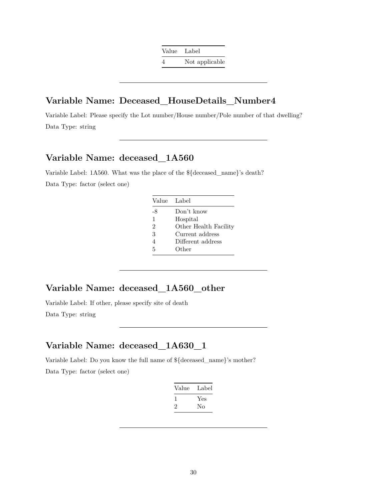Value Label 4 Not applicable

### **Variable Name: Deceased\_HouseDetails\_Number4**

Variable Label: Please specify the Lot number/House number/Pole number of that dwelling? Data Type: string

### **Variable Name: deceased\_1A560**

Variable Label: 1A560. What was the place of the \${deceased\_name}'s death? Data Type: factor (select one)

|                | Value Label           |
|----------------|-----------------------|
| -8             | Don't know            |
| 1              | Hospital              |
| $\overline{2}$ | Other Health Facility |
| 3              | Current address       |
| $\overline{4}$ | Different address     |
| 5              | Other                 |

### **Variable Name: deceased\_1A560\_other**

Variable Label: If other, please specify site of death

Data Type: string

### **Variable Name: deceased\_1A630\_1**

Variable Label: Do you know the full name of \${deceased\_name}'s mother? Data Type: factor (select one)

| Value | Label |
|-------|-------|
|       | Yes   |
| ۰,    | Nο    |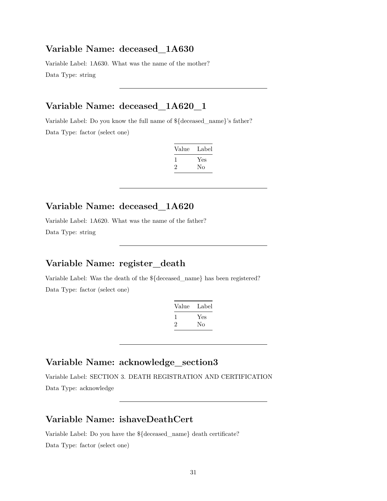#### **Variable Name: deceased\_1A630**

Variable Label: 1A630. What was the name of the mother? Data Type: string

## **Variable Name: deceased\_1A620\_1**

Variable Label: Do you know the full name of \${deceased\_name}'s father? Data Type: factor (select one)

| Value        | Label |
|--------------|-------|
| $\mathbf{I}$ | Yes   |
| $\cdot$      | Nο    |

# **Variable Name: deceased\_1A620**

Variable Label: 1A620. What was the name of the father? Data Type: string

# **Variable Name: register\_death**

Variable Label: Was the death of the \${deceased\_name} has been registered? Data Type: factor (select one)

| Value | Label |
|-------|-------|
|       | Yes   |
| ۰,    | Nο    |

### **Variable Name: acknowledge\_section3**

Variable Label: SECTION 3. DEATH REGISTRATION AND CERTIFICATION Data Type: acknowledge

# **Variable Name: ishaveDeathCert**

Variable Label: Do you have the \${deceased\_name} death certificate?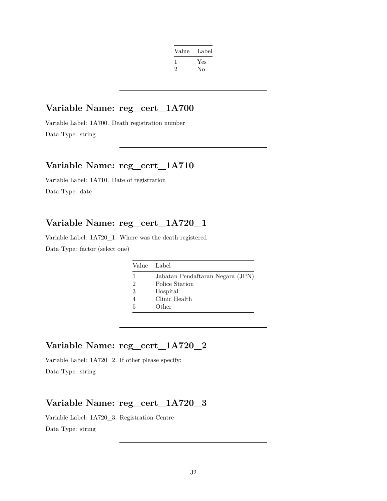| Label |
|-------|
| Yes   |
| No    |
|       |

#### **Variable Name: reg\_cert\_1A700**

Variable Label: 1A700. Death registration number Data Type: string

### **Variable Name: reg\_cert\_1A710**

Variable Label: 1A710. Date of registration Data Type: date

### **Variable Name: reg\_cert\_1A720\_1**

Variable Label: 1A720\_1. Where was the death registered Data Type: factor (select one)

|   | Value Label                      |
|---|----------------------------------|
| 1 | Jabatan Pendaftaran Negara (JPN) |
| 2 | Police Station                   |
| 3 | Hospital                         |
|   | Clinic Health                    |
| 5 | Other                            |

### **Variable Name: reg\_cert\_1A720\_2**

Variable Label: 1A720\_2. If other please specify: Data Type: string

# **Variable Name: reg\_cert\_1A720\_3**

Variable Label: 1A720\_3. Registration Centre Data Type: string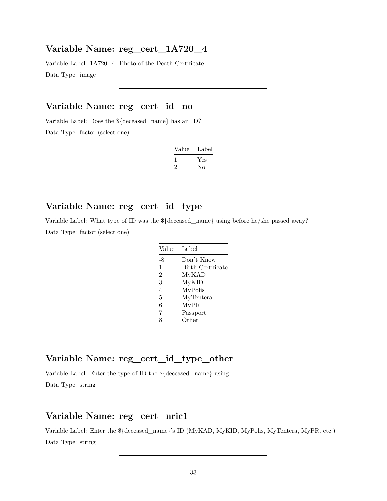#### **Variable Name: reg\_cert\_1A720\_4**

Variable Label: 1A720\_4. Photo of the Death Certificate Data Type: image

### **Variable Name: reg\_cert\_id\_no**

Variable Label: Does the \${deceased\_name} has an ID? Data Type: factor (select one)

| Label |
|-------|
| Yes   |
| Nο    |
|       |

# **Variable Name: reg\_cert\_id\_type**

Variable Label: What type of ID was the \${deceased\_name} using before he/she passed away? Data Type: factor (select one)

| Value          | Label             |
|----------------|-------------------|
| -8             | Don't Know        |
| 1              | Birth Certificate |
| $\overline{2}$ | MyKAD             |
| 3              | MyKID             |
| 4              | MyPolis           |
| 5              | MyTentera         |
| 6              | MyPR              |
| 7              | Passport          |
| 8              | Other             |

#### **Variable Name: reg\_cert\_id\_type\_other**

Variable Label: Enter the type of ID the \${deceased\_name} using. Data Type: string

### **Variable Name: reg\_cert\_nric1**

Variable Label: Enter the \${deceased\_name}'s ID (MyKAD, MyKID, MyPolis, MyTentera, MyPR, etc.) Data Type: string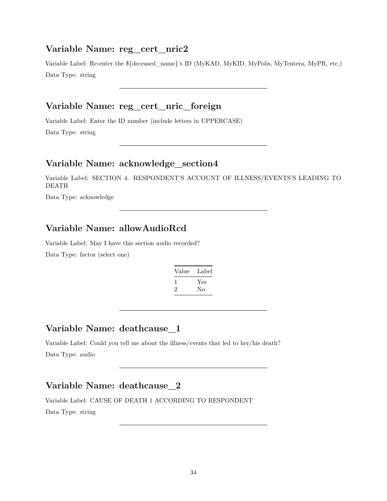#### **Variable Name: reg\_cert\_nric2**

Variable Label: Re-enter the \${deceased\_name}'s ID (MyKAD, MyKID, MyPolis, MyTentera, MyPR, etc.) Data Type: string

# **Variable Name: reg\_cert\_nric\_foreign**

Variable Label: Enter the ID number (include letters in UPPERCASE)

Data Type: string

### **Variable Name: acknowledge\_section4**

Variable Label: SECTION 4. RESPONDENT'S ACCOUNT OF ILLNESS/EVENTS'S LEADING TO DEATH

Data Type: acknowledge

# **Variable Name: allowAudioRcd**

Variable Label: May I have this section audio recorded?

Data Type: factor (select one)

| Label |
|-------|
| Yes   |
| Nο    |
|       |

# **Variable Name: deathcause\_1**

Variable Label: Could you tell me about the illness/events that led to her/his death? Data Type: audio

# **Variable Name: deathcause\_2**

Variable Label: CAUSE OF DEATH 1 ACCORDING TO RESPONDENT Data Type: string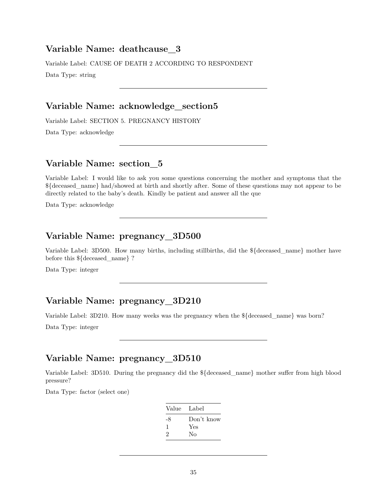#### **Variable Name: deathcause\_3**

Variable Label: CAUSE OF DEATH 2 ACCORDING TO RESPONDENT

Data Type: string

### **Variable Name: acknowledge\_section5**

Variable Label: SECTION 5. PREGNANCY HISTORY

Data Type: acknowledge

#### **Variable Name: section\_5**

Variable Label: I would like to ask you some questions concerning the mother and symptoms that the \${deceased\_name} had/showed at birth and shortly after. Some of these questions may not appear to be directly related to the baby's death. Kindly be patient and answer all the que

Data Type: acknowledge

### **Variable Name: pregnancy\_3D500**

Variable Label: 3D500. How many births, including stillbirths, did the \${deceased\_name} mother have before this \${deceased\_name} ?

Data Type: integer

# **Variable Name: pregnancy\_3D210**

Variable Label: 3D210. How many weeks was the pregnancy when the \${deceased\_name} was born?

Data Type: integer

#### **Variable Name: pregnancy\_3D510**

Variable Label: 3D510. During the pregnancy did the \${deceased\_name} mother suffer from high blood pressure?

| Value Label |
|-------------|
| Don't know  |
| Yes         |
| Nο          |
|             |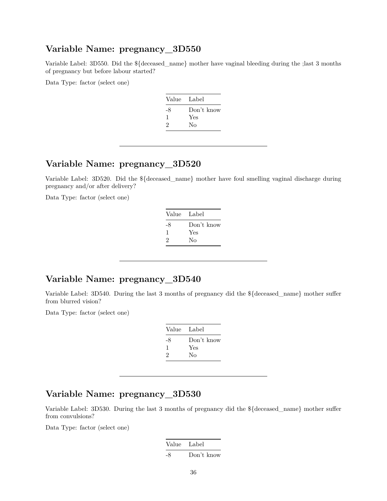### **Variable Name: pregnancy\_3D550**

Variable Label: 3D550. Did the \${deceased\_name} mother have vaginal bleeding during the ;last 3 months of pregnancy but before labour started?

Data Type: factor (select one)

| Value | Label      |
|-------|------------|
| -8    | Don't know |
| 1     | Yes        |
| 2     | Nο         |
|       |            |

### **Variable Name: pregnancy\_3D520**

Variable Label: 3D520. Did the \${deceased\_name} mother have foul smelling vaginal discharge during pregnancy and/or after delivery?

Data Type: factor (select one)

| Value Label |            |
|-------------|------------|
| -8          | Don't know |
| 1           | Yes        |
| 2           | No         |
|             |            |

### **Variable Name: pregnancy\_3D540**

Variable Label: 3D540. During the last 3 months of pregnancy did the \${deceased\_name} mother suffer from blurred vision?

Data Type: factor (select one)

| Value | Label      |
|-------|------------|
| -8    | Don't know |
| 1     | Yes        |
| 2     | Nο         |
|       |            |

# **Variable Name: pregnancy\_3D530**

Variable Label: 3D530. During the last 3 months of pregnancy did the \${deceased\_name} mother suffer from convulsions?

| Value Label |            |
|-------------|------------|
| -8          | Don't know |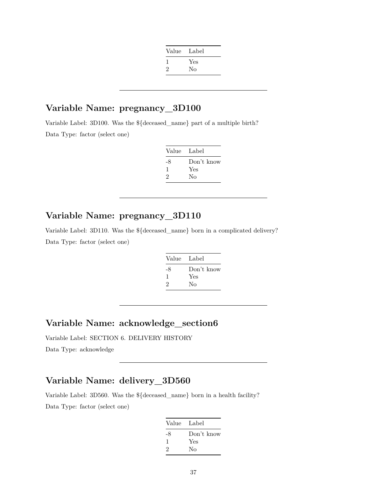| Value | Label |
|-------|-------|
|       | Yes   |
| 2     | No    |
|       |       |

## **Variable Name: pregnancy\_3D100**

Variable Label: 3D100. Was the \${deceased\_name} part of a multiple birth? Data Type: factor (select one)

| Value Label |            |
|-------------|------------|
| -8          | Don't know |
| 1           | Yes        |
| 2           | Nο         |

## **Variable Name: pregnancy\_3D110**

Variable Label: 3D110. Was the \${deceased\_name} born in a complicated delivery? Data Type: factor (select one)

| Value | Label      |
|-------|------------|
| -8    | Don't know |
| 1     | Yes        |
| 2     | No         |

#### **Variable Name: acknowledge\_section6**

Variable Label: SECTION 6. DELIVERY HISTORY Data Type: acknowledge

# **Variable Name: delivery\_3D560**

Variable Label: 3D560. Was the \${deceased\_name} born in a health facility? Data Type: factor (select one)

| Value Label |            |
|-------------|------------|
| -8          | Don't know |
| 1           | Yes        |
| 2           | Nο         |
|             |            |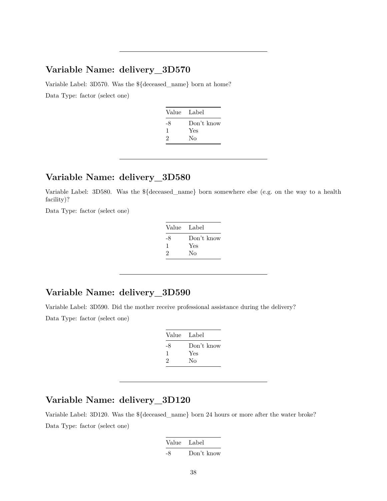#### **Variable Name: delivery\_3D570**

Variable Label: 3D570. Was the \${deceased\_name} born at home? Data Type: factor (select one)

| Value Label |
|-------------|
| Don't know  |
| Yes         |
| Nο          |
|             |

#### **Variable Name: delivery\_3D580**

Variable Label: 3D580. Was the \${deceased\_name} born somewhere else (e.g. on the way to a health facility)?

Data Type: factor (select one)

| Value Label |            |
|-------------|------------|
| -8          | Don't know |
| ı           | Yes        |
| 2           | Nο         |

## **Variable Name: delivery\_3D590**

Variable Label: 3D590. Did the mother receive professional assistance during the delivery? Data Type: factor (select one)

| Value | Label      |
|-------|------------|
| -8    | Don't know |
| 1     | Yes        |
| 2     | Nο         |
|       |            |

#### **Variable Name: delivery\_3D120**

Variable Label: 3D120. Was the \${deceased\_name} born 24 hours or more after the water broke? Data Type: factor (select one)

| Value Label |            |
|-------------|------------|
| -8          | Don't know |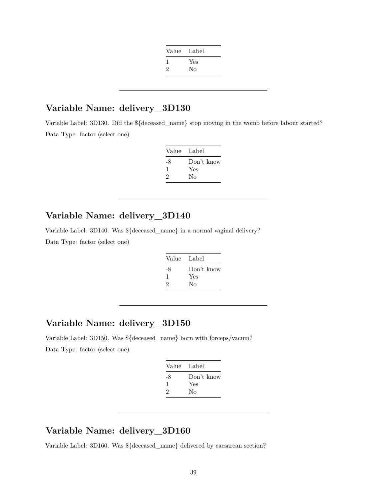| Value | Label |
|-------|-------|
|       | Yes   |
| 2     | No    |
|       |       |

#### **Variable Name: delivery\_3D130**

Variable Label: 3D130. Did the \${deceased\_name} stop moving in the womb before labour started? Data Type: factor (select one)

| Value | Label      |
|-------|------------|
| -8    | Don't know |
| 1     | Yes        |
| 2     | No         |

#### **Variable Name: delivery\_3D140**

Variable Label: 3D140. Was \${deceased\_name} in a normal vaginal delivery? Data Type: factor (select one)

| Value Label |            |
|-------------|------------|
| -8          | Don't know |
| -1          | Yes        |
| 2           | Nο         |

#### **Variable Name: delivery\_3D150**

Variable Label: 3D150. Was \${deceased\_name} born with forceps/vacum? Data Type: factor (select one)

| Value Label |            |
|-------------|------------|
| -8          | Don't know |
| -1          | Yes        |
| 2           | No         |
|             |            |

## **Variable Name: delivery\_3D160**

Variable Label: 3D160. Was \${deceased\_name} delivered by caesarean section?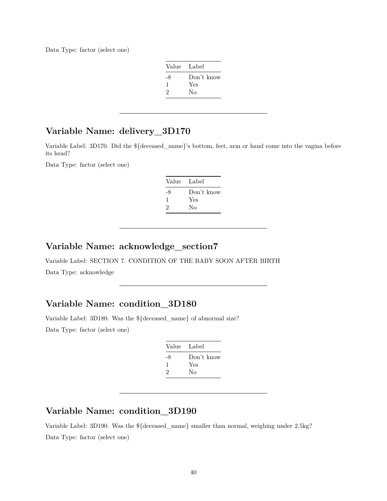Data Type: factor (select one)

| Value Label |            |
|-------------|------------|
| -8          | Don't know |
| 1           | Yes        |
| 2           | Nο         |

## **Variable Name: delivery\_3D170**

Variable Label: 3D170. Did the \${deceased\_name}'s bottom, feet, arm or hand come into the vagina before its head?

Data Type: factor (select one)

| Value Label |            |
|-------------|------------|
| -8          | Don't know |
| 1           | Yes        |
| 2           | Nο         |
|             |            |

#### **Variable Name: acknowledge\_section7**

Variable Label: SECTION 7. CONDITION OF THE BABY SOON AFTER BIRTH Data Type: acknowledge

## **Variable Name: condition\_3D180**

Variable Label: 3D180. Was the \${deceased\_name} of abnormal size?

Data Type: factor (select one)

| Value | Label      |
|-------|------------|
| -8    | Don't know |
| ı     | Yes        |
| 2     | Nο         |

## **Variable Name: condition\_3D190**

Variable Label: 3D190. Was the \${deceased\_name} smaller than normal, weighing under 2.5kg? Data Type: factor (select one)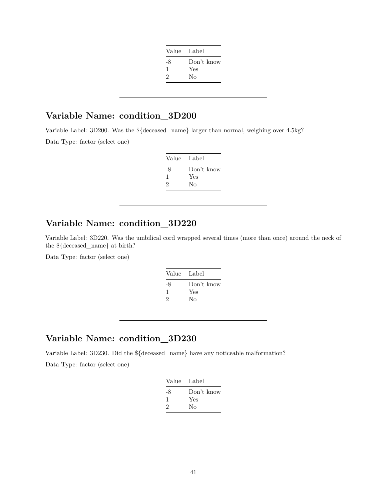| Value Label |            |
|-------------|------------|
| -8          | Don't know |
| 1           | Yes        |
| 2           | Nο         |
|             |            |

Variable Label: 3D200. Was the \${deceased\_name} larger than normal, weighing over 4.5kg?

Data Type: factor (select one)

| Value Label |            |
|-------------|------------|
| -8          | Don't know |
|             | Yes        |
| 2           | Nο         |

# **Variable Name: condition\_3D220**

Variable Label: 3D220. Was the umbilical cord wrapped several times (more than once) around the neck of the \${deceased\_name} at birth?

Data Type: factor (select one)

| -8<br>Yes<br>1 | Value | Label      |
|----------------|-------|------------|
| 2<br>Nο        |       | Don't know |

## **Variable Name: condition\_3D230**

Variable Label: 3D230. Did the \${deceased\_name} have any noticeable malformation? Data Type: factor (select one)

| Value Label |            |
|-------------|------------|
| -8          | Don't know |
| J.          | Yes        |
| 2           | No         |
|             |            |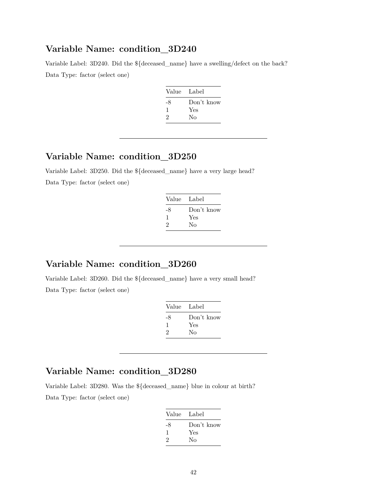Variable Label: 3D240. Did the \${deceased\_name} have a swelling/defect on the back? Data Type: factor (select one)

| Value | - Label    |
|-------|------------|
| -8    | Don't know |
| ı     | Yes        |
| 2     | Nο         |
|       |            |

## **Variable Name: condition\_3D250**

Variable Label: 3D250. Did the \${deceased\_name} have a very large head? Data Type: factor (select one)

| Value Label |            |
|-------------|------------|
| -8          | Don't know |
| ı           | Yes        |
| 2           | Nο         |
|             |            |

### **Variable Name: condition\_3D260**

Variable Label: 3D260. Did the \${deceased\_name} have a very small head? Data Type: factor (select one)

| Value Label |            |
|-------------|------------|
| -8          | Don't know |
| 1           | Yes        |
| 2           | Nο         |
|             |            |

#### **Variable Name: condition\_3D280**

Variable Label: 3D280. Was the \${deceased\_name} blue in colour at birth? Data Type: factor (select one)

| Value Label |
|-------------|
| Don't know  |
| Yes         |
| Nο          |
|             |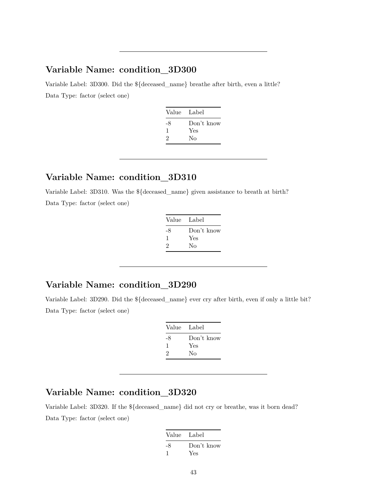Variable Label: 3D300. Did the \${deceased\_name} breathe after birth, even a little? Data Type: factor (select one)

| Value Label |            |
|-------------|------------|
| -8          | Don't know |
| ı           | Yes        |
| 2           | Nο         |
|             |            |

#### **Variable Name: condition\_3D310**

Variable Label: 3D310. Was the \${deceased\_name} given assistance to breath at birth? Data Type: factor (select one)

| Value Label |            |
|-------------|------------|
| -8          | Don't know |
| ı           | Yes        |
| 2           | Nο         |
|             |            |

## **Variable Name: condition\_3D290**

Variable Label: 3D290. Did the \${deceased\_name} ever cry after birth, even if only a little bit? Data Type: factor (select one)

| Value | Label      |
|-------|------------|
| -8    | Don't know |
| ı     | Yes        |
| 2     | Nο         |

## **Variable Name: condition\_3D320**

Variable Label: 3D320. If the \${deceased\_name} did not cry or breathe, was it born dead? Data Type: factor (select one)

| Value Label |            |
|-------------|------------|
| -8          | Don't know |
|             | Yes        |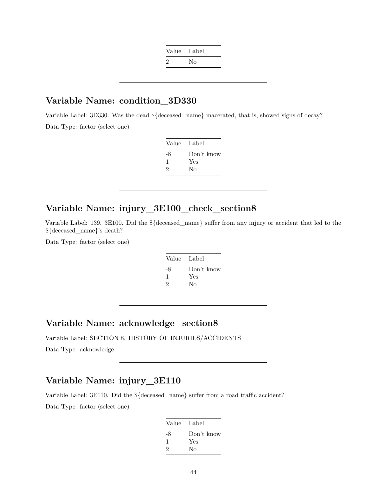| Value Label   |    |
|---------------|----|
| $\mathcal{L}$ | No |

Variable Label: 3D330. Was the dead \${deceased\_name} macerated, that is, showed signs of decay? Data Type: factor (select one)

| Value | Label      |
|-------|------------|
| -8    | Don't know |
|       | Yes        |
| 2     | No         |

## **Variable Name: injury\_3E100\_check\_section8**

Variable Label: 139. 3E100. Did the \${deceased\_name} suffer from any injury or accident that led to the \${deceased\_name}'s death?

Data Type: factor (select one)

| Value | - Label    |
|-------|------------|
| -8    | Don't know |
|       | Yes        |
| 2     | Nο         |
|       |            |

#### **Variable Name: acknowledge\_section8**

Variable Label: SECTION 8. HISTORY OF INJURIES/ACCIDENTS

Data Type: acknowledge

## **Variable Name: injury\_3E110**

Variable Label: 3E110. Did the \${deceased\_name} suffer from a road traffic accident? Data Type: factor (select one)

| Value Label                 |            |
|-----------------------------|------------|
| -8                          | Don't know |
| 1                           | Yes        |
| $\mathcal{D}_{\mathcal{L}}$ | Nο         |
|                             |            |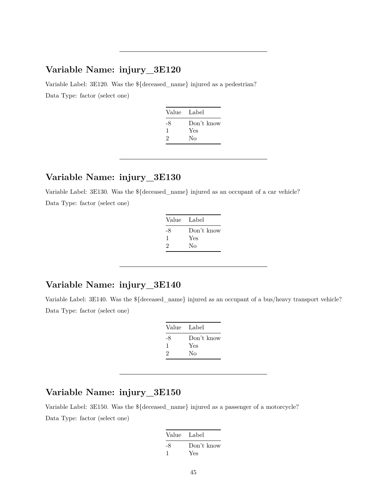Variable Label: 3E120. Was the \${deceased\_name} injured as a pedestrian? Data Type: factor (select one)

| Value Label |            |
|-------------|------------|
| -8          | Don't know |
| ı           | Yes        |
| 2           | Nο         |
|             |            |

#### **Variable Name: injury\_3E130**

Variable Label: 3E130. Was the \${deceased\_name} injured as an occupant of a car vehicle?

Data Type: factor (select one)

| Value Label |
|-------------|
| Don't know  |
| Yes         |
| Nο          |
|             |

## **Variable Name: injury\_3E140**

Variable Label: 3E140. Was the \${deceased\_name} injured as an occupant of a bus/heavy transport vehicle? Data Type: factor (select one)

| Value | Label      |
|-------|------------|
| -8    | Don't know |
| ı     | Yes        |
| 2     | No         |

## **Variable Name: injury\_3E150**

Variable Label: 3E150. Was the \${deceased\_name} injured as a passenger of a motorcycle? Data Type: factor (select one)

| Value Label |            |
|-------------|------------|
| -8          | Don't know |
|             | Yes        |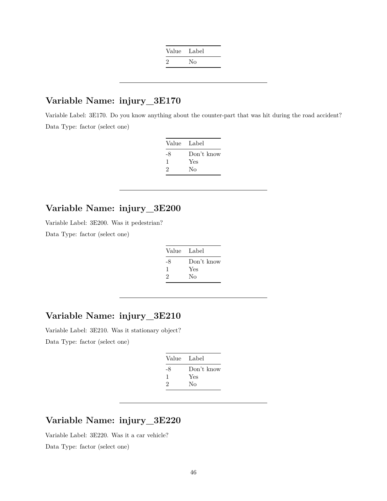| Nο |
|----|
|    |

Variable Label: 3E170. Do you know anything about the counter-part that was hit during the road accident? Data Type: factor (select one)

| Value | Label      |
|-------|------------|
| -8    | Don't know |
|       | Yes        |
| 2     | No         |

## **Variable Name: injury\_3E200**

Variable Label: 3E200. Was it pedestrian?

Data Type: factor (select one)

| Value Label |            |
|-------------|------------|
| -8          | Don't know |
| 1           | Yes        |
| 2           | Nο         |

#### **Variable Name: injury\_3E210**

Variable Label: 3E210. Was it stationary object? Data Type: factor (select one)

| Value | Label      |
|-------|------------|
| -8    | Don't know |
| 1     | Yes        |
| 2     | No         |

### **Variable Name: injury\_3E220**

Variable Label: 3E220. Was it a car vehicle? Data Type: factor (select one)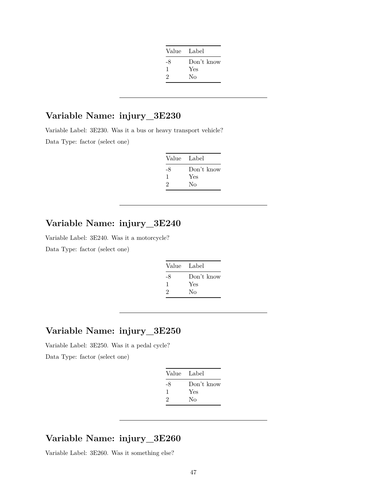| Value Label |            |
|-------------|------------|
| -8          | Don't know |
| 1           | Yes        |
| 2           | Nο         |
|             |            |

Variable Label: 3E230. Was it a bus or heavy transport vehicle? Data Type: factor (select one)

| Value Label |            |
|-------------|------------|
| -8          | Don't know |
| л.          | Yes        |
| 2           | No         |

## **Variable Name: injury\_3E240**

Variable Label: 3E240. Was it a motorcycle?

Data Type: factor (select one)

| Value Label |            |
|-------------|------------|
| -8          | Don't know |
| 1           | Yes        |
| 2           | Nο         |
|             |            |

## **Variable Name: injury\_3E250**

Variable Label: 3E250. Was it a pedal cycle?

Data Type: factor (select one)

| Value Label |            |
|-------------|------------|
| -8          | Don't know |
| 1           | Yes        |
| 2           | Nο         |

#### **Variable Name: injury\_3E260**

Variable Label: 3E260. Was it something else?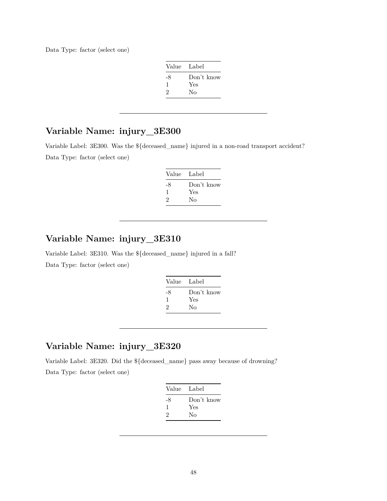Data Type: factor (select one)

| Value Label |            |
|-------------|------------|
| -8          | Don't know |
| L           | Yes        |
| 2           | No         |

## **Variable Name: injury\_3E300**

Variable Label: 3E300. Was the \${deceased\_name} injured in a non-road transport accident? Data Type: factor (select one)

| Value | Label      |
|-------|------------|
| -8    | Don't know |
|       | Yes        |
| 2     | Nο         |

## **Variable Name: injury\_3E310**

Variable Label: 3E310. Was the \${deceased\_name} injured in a fall? Data Type: factor (select one)

| Value | - Label    |
|-------|------------|
| -8    | Don't know |
| ı     | Yes        |
| 2     | No         |
|       |            |

## **Variable Name: injury\_3E320**

Variable Label: 3E320. Did the \${deceased\_name} pass away because of drowning? Data Type: factor (select one)

| Value Label |            |
|-------------|------------|
| -8          | Don't know |
| 1           | Yes        |
| 2           | Nο         |
|             |            |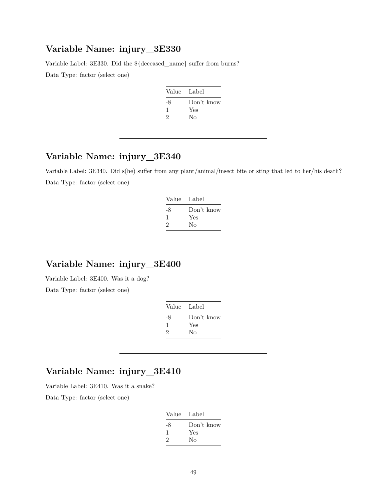Variable Label: 3E330. Did the \${deceased\_name} suffer from burns?

Data Type: factor (select one)

| Value Label |
|-------------|
| Don't know  |
| Yes         |
| No          |
|             |

## **Variable Name: injury\_3E340**

Variable Label: 3E340. Did s(he) suffer from any plant/animal/insect bite or sting that led to her/his death? Data Type: factor (select one)

| Value Label |
|-------------|
| Don't know  |
| Yes         |
| Nο          |
|             |

### **Variable Name: injury\_3E400**

Variable Label: 3E400. Was it a dog? Data Type: factor (select one)

| Value Label |            |
|-------------|------------|
| -8          | Don't know |
| 1           | Yes        |
| 2           | Nο         |
|             |            |

## **Variable Name: injury\_3E410**

Variable Label: 3E410. Was it a snake?

| Value Label |
|-------------|
| Don't know  |
| Yes         |
| Nο          |
|             |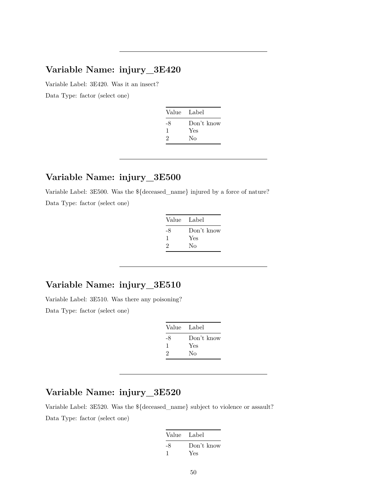Variable Label: 3E420. Was it an insect?

Data Type: factor (select one)

| Don't know |
|------------|
|            |
|            |
|            |

#### **Variable Name: injury\_3E500**

Variable Label: 3E500. Was the \${deceased\_name} injured by a force of nature? Data Type: factor (select one)

| Value Label |
|-------------|
| Don't know  |
| Yes         |
| Nο          |
|             |

## **Variable Name: injury\_3E510**

Variable Label: 3E510. Was there any poisoning? Data Type: factor (select one)

| Value | Label      |
|-------|------------|
| -8    | Don't know |
| ı     | Yes        |
| 2     | No         |
|       |            |

## **Variable Name: injury\_3E520**

Variable Label: 3E520. Was the \${deceased\_name} subject to violence or assault? Data Type: factor (select one)

| Value Label |            |
|-------------|------------|
| -8          | Don't know |
|             | Yes        |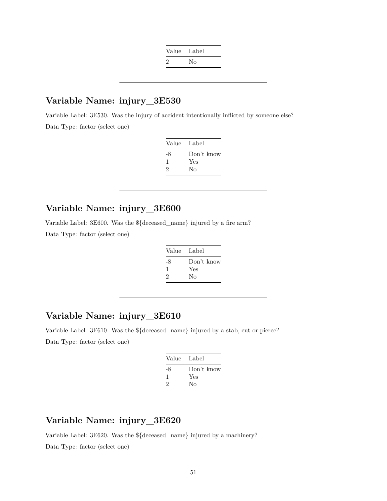| Value Label   |    |
|---------------|----|
| $\mathcal{P}$ | Nο |

Variable Label: 3E530. Was the injury of accident intentionally inflicted by someone else? Data Type: factor (select one)

| - Label    |
|------------|
| Don't know |
| Yes        |
| Nο         |
|            |

## **Variable Name: injury\_3E600**

Variable Label: 3E600. Was the \${deceased\_name} injured by a fire arm?

Data Type: factor (select one)

| Value Label |            |
|-------------|------------|
| -8          | Don't know |
| 1           | Yes        |
| 2           | Nο         |

#### **Variable Name: injury\_3E610**

Variable Label: 3E610. Was the \${deceased\_name} injured by a stab, cut or pierce? Data Type: factor (select one)

| Value Label |
|-------------|
| Don't know  |
|             |
|             |
|             |

#### **Variable Name: injury\_3E620**

Variable Label: 3E620. Was the \${deceased\_name} injured by a machinery? Data Type: factor (select one)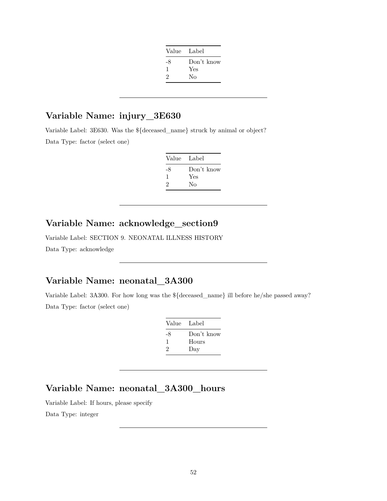| Value Label |            |
|-------------|------------|
| -8          | Don't know |
| 1           | Yes        |
| 2           | Nο         |
|             |            |

Variable Label: 3E630. Was the \${deceased\_name} struck by animal or object? Data Type: factor (select one)

| Value Label |            |
|-------------|------------|
| -8          | Don't know |
| л.          | Yes        |
| 2           | Nο         |

## **Variable Name: acknowledge\_section9**

Variable Label: SECTION 9. NEONATAL ILLNESS HISTORY Data Type: acknowledge

## **Variable Name: neonatal\_3A300**

Variable Label: 3A300. For how long was the \${deceased\_name} ill before he/she passed away? Data Type: factor (select one)

| Value | Label      |
|-------|------------|
| -8    | Don't know |
| 1     | Hours      |
| 2     | Day        |
|       |            |

# **Variable Name: neonatal\_3A300\_hours**

Variable Label: If hours, please specify Data Type: integer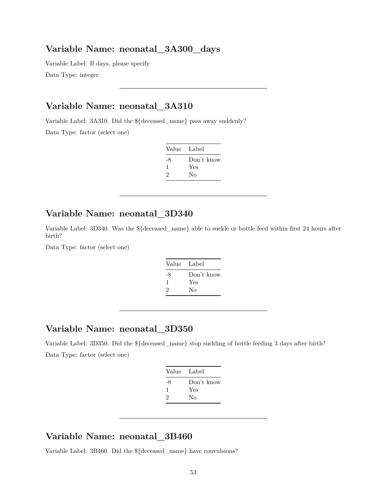#### **Variable Name: neonatal\_3A300\_days**

Variable Label: If days, please specify Data Type: integer

#### **Variable Name: neonatal\_3A310**

Variable Label: 3A310. Did the \${deceased\_name} pass away suddenly?

Data Type: factor (select one)

| Value | - Label    |
|-------|------------|
| -8    | Don't know |
| 1     | Yes        |
| 2     | Nο         |

#### **Variable Name: neonatal\_3D340**

Variable Label: 3D340. Was the \${deceased\_name} able to suckle or bottle feed within first 24 hours after birth?

Data Type: factor (select one)

| Value Label |                   |
|-------------|-------------------|
| -8          | Don't know<br>Yes |
| 2           | Nο                |

#### **Variable Name: neonatal\_3D350**

Variable Label: 3D350. Did the \${deceased\_name} stop suckling of bottle feeding 3 days after birth? Data Type: factor (select one)

| Value Label |            |
|-------------|------------|
| -8          | Don't know |
| ı.          | Yes        |
| 2           | Nο         |
|             |            |

### **Variable Name: neonatal\_3B460**

Variable Label: 3B460. Did the \${deceased\_name} have convulsions?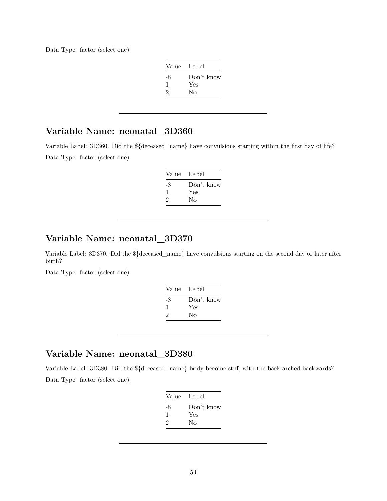Data Type: factor (select one)

| Value Label |            |
|-------------|------------|
| -8          | Don't know |
| L           | Yes        |
| 2           | No         |

## **Variable Name: neonatal\_3D360**

Variable Label: 3D360. Did the \${deceased\_name} have convulsions starting within the first day of life? Data Type: factor (select one)

| Value Label |            |
|-------------|------------|
| -8          | Don't know |
| ı           | Yes        |
| 2           | Nο         |

## **Variable Name: neonatal\_3D370**

Variable Label: 3D370. Did the \${deceased\_name} have convulsions starting on the second day or later after birth?

Data Type: factor (select one)

| Value | Label      |
|-------|------------|
| -8    | Don't know |
| л.    | Yes        |
| 2     | Nο         |
|       |            |

#### **Variable Name: neonatal\_3D380**

Variable Label: 3D380. Did the \${deceased\_name} body become stiff, with the back arched backwards? Data Type: factor (select one)

| Value Label |            |
|-------------|------------|
| -8          | Don't know |
| 1           | Yes        |
| 2           | Nο         |
|             |            |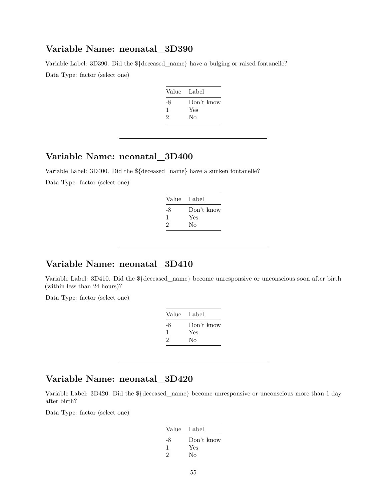#### **Variable Name: neonatal\_3D390**

Variable Label: 3D390. Did the \${deceased\_name} have a bulging or raised fontanelle? Data Type: factor (select one)

| Value Label |            |
|-------------|------------|
| -8          | Don't know |
| ı           | Yes        |
| 2           | No         |
|             |            |

## **Variable Name: neonatal\_3D400**

Variable Label: 3D400. Did the \${deceased\_name} have a sunken fontanelle?

Data Type: factor (select one)

| Value Label |            |
|-------------|------------|
| -8          | Don't know |
| -1          | Yes        |
| 2           | Nο         |

## **Variable Name: neonatal\_3D410**

Variable Label: 3D410. Did the \${deceased\_name} become unresponsive or unconscious soon after birth (within less than 24 hours)?

Data Type: factor (select one)

| Value | - Label    |
|-------|------------|
| -8    | Don't know |
|       | Yes        |
| 2     | Nο         |

#### **Variable Name: neonatal\_3D420**

Variable Label: 3D420. Did the \${deceased\_name} become unresponsive or unconscious more than 1 day after birth?

| Value Label |            |
|-------------|------------|
| -8          | Don't know |
|             | Yes        |
| 2           | Nο         |
|             |            |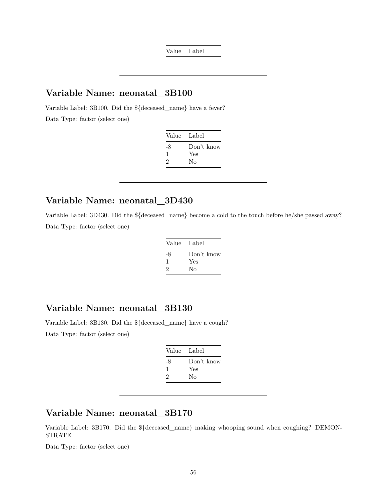Value Label

## **Variable Name: neonatal\_3B100**

Variable Label: 3B100. Did the \${deceased\_name} have a fever?

Data Type: factor (select one)

| Value Label |            |
|-------------|------------|
| -8          | Don't know |
| ı           | Yes        |
| 2           | No         |

#### **Variable Name: neonatal\_3D430**

Variable Label: 3D430. Did the \${deceased\_name} become a cold to the touch before he/she passed away? Data Type: factor (select one)

| Value Label |            |
|-------------|------------|
| -8          | Don't know |
| 1           | Yes        |
| 2           | Nο         |

## **Variable Name: neonatal\_3B130**

Variable Label: 3B130. Did the \${deceased\_name} have a cough? Data Type: factor (select one)

| Value Label |            |
|-------------|------------|
| -8          | Don't know |
| 1           | Yes        |
| 2           | Nο         |
|             |            |

## **Variable Name: neonatal\_3B170**

Variable Label: 3B170. Did the \${deceased\_name} making whooping sound when coughing? DEMON-STRATE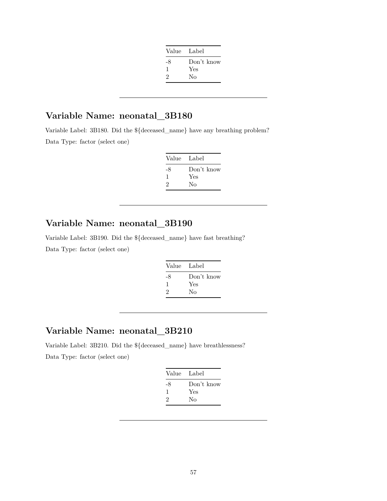| Value Label |            |
|-------------|------------|
| -8          | Don't know |
| ı           | Yes        |
| 2           | No         |
|             |            |

# **Variable Name: neonatal\_3B180**

Variable Label: 3B180. Did the \${deceased\_name} have any breathing problem? Data Type: factor (select one)

| Value Label |            |
|-------------|------------|
| -8          | Don't know |
| ı.          | Yes        |
| 2           | Nο         |

# **Variable Name: neonatal\_3B190**

Variable Label: 3B190. Did the \${deceased\_name} have fast breathing? Data Type: factor (select one)

| Label      |
|------------|
| Don't know |
| Yes        |
| Nο         |
|            |

## **Variable Name: neonatal\_3B210**

Variable Label: 3B210. Did the \${deceased\_name} have breathlessness?

|    | Value Label |
|----|-------------|
| -8 | Don't know  |
| л. | Yes         |
| 2  | Nο          |
|    |             |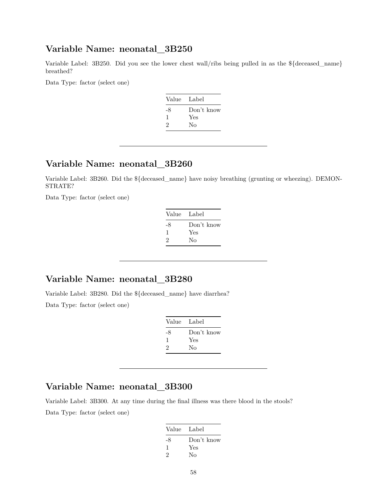#### **Variable Name: neonatal\_3B250**

Variable Label: 3B250. Did you see the lower chest wall/ribs being pulled in as the \${deceased\_name} breathed?

Data Type: factor (select one)

| Value | Label      |
|-------|------------|
| -8    | Don't know |
| -1    | Yes        |
| 2     | No         |
|       |            |

## **Variable Name: neonatal\_3B260**

Variable Label: 3B260. Did the \${deceased\_name} have noisy breathing (grunting or wheezing). DEMON-STRATE?

Data Type: factor (select one)

| Value Label |            |
|-------------|------------|
| -8          | Don't know |
| л.          | Yes        |
| 2           | No         |
|             |            |

#### **Variable Name: neonatal\_3B280**

Variable Label: 3B280. Did the \${deceased\_name} have diarrhea? Data Type: factor (select one)

| Value | Label      |
|-------|------------|
| -8    | Don't know |
| ı     | Yes        |
| 2     | No         |

#### **Variable Name: neonatal\_3B300**

Variable Label: 3B300. At any time during the final illness was there blood in the stools? Data Type: factor (select one)

| Value Label |            |
|-------------|------------|
| -8          | Don't know |
| -1          | Yes        |
| 2           | No         |
|             |            |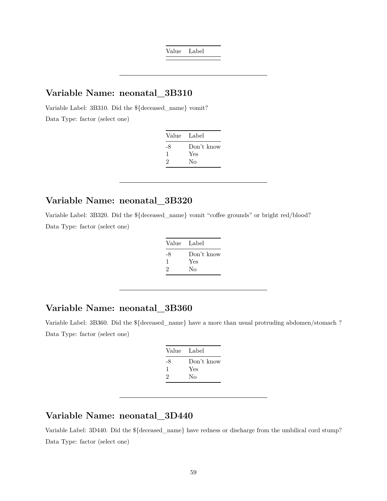Value Label

#### **Variable Name: neonatal\_3B310**

Variable Label: 3B310. Did the \${deceased\_name} vomit?

Data Type: factor (select one)

| Value Label |            |
|-------------|------------|
| -8          | Don't know |
| 1           | Yes        |
| 2           | Nο         |

#### **Variable Name: neonatal\_3B320**

Variable Label: 3B320. Did the \${deceased\_name} vomit "coffee grounds" or bright red/blood? Data Type: factor (select one)

| Value Label |            |
|-------------|------------|
| -8          | Don't know |
| ı           | Yes        |
| 2           | No         |

## **Variable Name: neonatal\_3B360**

Variable Label: 3B360. Did the \${deceased\_name} have a more than usual protruding abdomen/stomach ? Data Type: factor (select one)

| Value Label |            |
|-------------|------------|
| -8          | Don't know |
| 1           | Yes        |
| 2           | Nο         |
|             |            |

## **Variable Name: neonatal\_3D440**

Variable Label: 3D440. Did the \${deceased\_name} have redness or discharge from the umbilical cord stump? Data Type: factor (select one)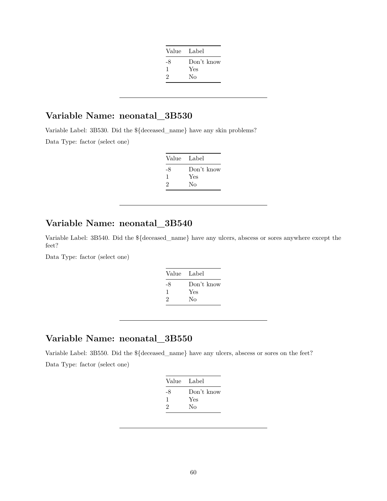| Value Label |            |
|-------------|------------|
| -8          | Don't know |
| 1           | Yes        |
| 2           | Nο         |
|             |            |

# **Variable Name: neonatal\_3B530**

Variable Label: 3B530. Did the \${deceased\_name} have any skin problems?

Data Type: factor (select one)

| Value Label |
|-------------|
| Don't know  |
| Yes         |
| Nο          |
|             |

## **Variable Name: neonatal\_3B540**

Variable Label: 3B540. Did the \${deceased\_name} have any ulcers, abscess or sores anywhere except the feet?

Data Type: factor (select one)

| Value Label |            |
|-------------|------------|
| -8          | Don't know |
| 1           | Yes        |
| 2           | No         |
|             |            |

## **Variable Name: neonatal\_3B550**

Variable Label: 3B550. Did the \${deceased\_name} have any ulcers, abscess or sores on the feet? Data Type: factor (select one)

| Value Label |            |
|-------------|------------|
| -8          | Don't know |
| л.          | Yes        |
| 2           | No         |
|             |            |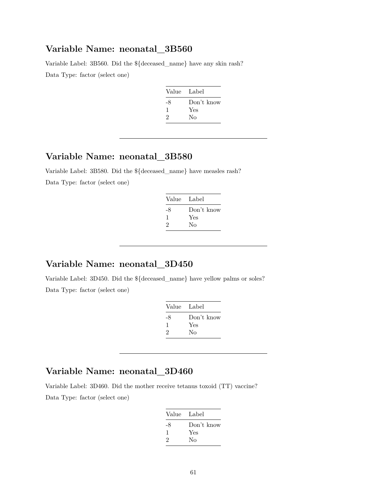#### **Variable Name: neonatal\_3B560**

Variable Label: 3B560. Did the \${deceased\_name} have any skin rash? Data Type: factor (select one)

| Value | Label      |
|-------|------------|
| -8    | Don't know |
|       | Yes        |
| 2     | Nο         |
|       |            |

## **Variable Name: neonatal\_3B580**

Variable Label: 3B580. Did the \${deceased\_name} have measles rash? Data Type: factor (select one)

| Value Label |            |
|-------------|------------|
| -8          | Don't know |
| -1          | Yes        |
| 2           | Nο         |

### **Variable Name: neonatal\_3D450**

Variable Label: 3D450. Did the \${deceased\_name} have yellow palms or soles? Data Type: factor (select one)

| Value Label |
|-------------|
| Don't know  |
| Yes         |
| Nο          |
|             |

## **Variable Name: neonatal\_3D460**

Variable Label: 3D460. Did the mother receive tetanus toxoid (TT) vaccine?

| Value Label |
|-------------|
| Don't know  |
| Yes         |
| Nο          |
|             |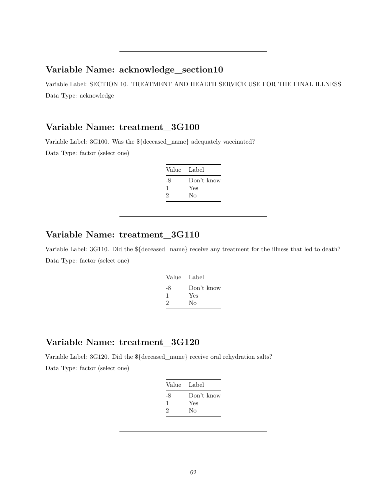#### **Variable Name: acknowledge\_section10**

Variable Label: SECTION 10. TREATMENT AND HEALTH SERVICE USE FOR THE FINAL ILLNESS Data Type: acknowledge

## **Variable Name: treatment\_3G100**

Variable Label: 3G100. Was the \${deceased\_name} adequately vaccinated?

Data Type: factor (select one)

| Value Label |            |
|-------------|------------|
| -8          | Don't know |
| 1           | Yes        |
| 2           | No         |
|             |            |

## **Variable Name: treatment\_3G110**

Variable Label: 3G110. Did the \${deceased\_name} receive any treatment for the illness that led to death? Data Type: factor (select one)

| Value Label |            |
|-------------|------------|
| -8          | Don't know |
| 1           | Yes        |
| 2           | No         |
|             |            |

## **Variable Name: treatment\_3G120**

Variable Label: 3G120. Did the \${deceased\_name} receive oral rehydration salts?

| Value | Label      |
|-------|------------|
| -8    | Don't know |
| 1     | Yes        |
| 2     | Nο         |
|       |            |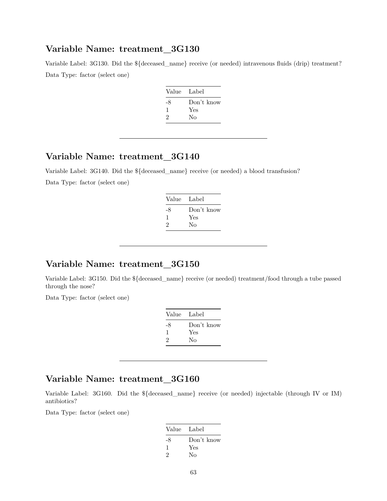#### **Variable Name: treatment\_3G130**

Variable Label: 3G130. Did the  ${\{\text{decessed}\;name\}}$  receive (or needed) intravenous fluids (drip) treatment? Data Type: factor (select one)

| Value Label |            |
|-------------|------------|
| -8          | Don't know |
| 1           | Yes        |
| 2           | No         |
|             |            |

## **Variable Name: treatment\_3G140**

Variable Label: 3G140. Did the \${deceased\_name} receive (or needed) a blood transfusion?

Data Type: factor (select one)

| Label      |
|------------|
| Don't know |
| Yes        |
| Nο         |
|            |

### **Variable Name: treatment\_3G150**

Variable Label: 3G150. Did the \${deceased\_name} receive (or needed) treatment/food through a tube passed through the nose?

Data Type: factor (select one)

| Value Label |
|-------------|
| Don't know  |
| Yes         |
| Nο          |
|             |

## **Variable Name: treatment\_3G160**

Variable Label: 3G160. Did the \${deceased\_name} receive (or needed) injectable (through IV or IM) antibiotics?

| Value | - Label    |
|-------|------------|
| -8    | Don't know |
|       | Yes        |
| 2     | Nο         |
|       |            |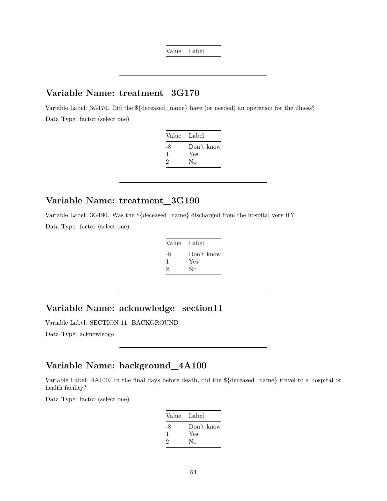Value Label

#### **Variable Name: treatment\_3G170**

Variable Label: 3G170. Did the \${deceased\_name} have (or needed) an operation for the illness? Data Type: factor (select one)

| Value Label |            |
|-------------|------------|
| -8          | Don't know |
| 1           | Yes        |
| 2           | Nο         |

#### **Variable Name: treatment\_3G190**

Variable Label: 3G190. Was the \${deceased\_name} discharged from the hospital very ill? Data Type: factor (select one)

| Value Label |
|-------------|
| Don't know  |
| Yes         |
| No          |
|             |

## **Variable Name: acknowledge\_section11**

Variable Label: SECTION 11. BACKGROUND

Data Type: acknowledge

### **Variable Name: background\_4A100**

Variable Label: 4A100. In the final days before death, did the \${deceased\_name} travel to a hospital or health facility?

| Value | Label      |
|-------|------------|
| -8    | Don't know |
| 1     | Yes        |
| 2     | Nο         |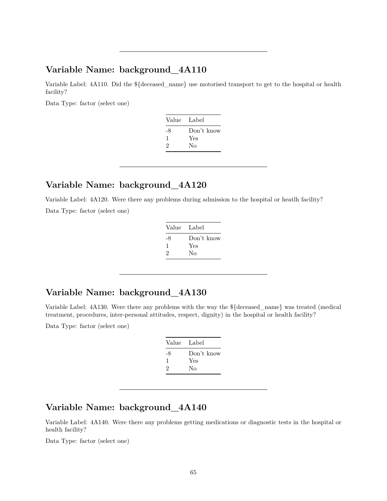#### **Variable Name: background\_4A110**

Variable Label: 4A110. Did the \${deceased\_name} use motorised transport to get to the hospital or health facility?

Data Type: factor (select one)

| Value | - Label    |
|-------|------------|
| -8    | Don't know |
| 1     | Yes        |
| 2     | Nο         |
|       |            |

## **Variable Name: background\_4A120**

Variable Label: 4A120. Were there any problems during admission to the hospital or heatlh facility? Data Type: factor (select one)

| Value Label |
|-------------|
| Don't know  |
| Yes         |
| Nο          |
|             |

# **Variable Name: background\_4A130**

Variable Label: 4A130. Were there any problems with the way the \${deceased\_name} was treated (medical treatment, procedures, inter-personal attitudes, respect, dignity) in the hospital or health facility?

Data Type: factor (select one)

| Label      |
|------------|
| Don't know |
| Yes        |
| No         |
|            |

## **Variable Name: background\_4A140**

Variable Label: 4A140. Were there any problems getting medications or diagnostic tests in the hospital or health facility?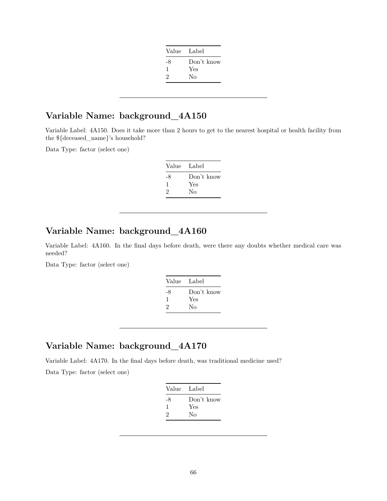| Value Label |            |
|-------------|------------|
| -8          | Don't know |
| ı           | Yes        |
| 2           | No         |
|             |            |

## **Variable Name: background\_4A150**

Variable Label: 4A150. Does it take more than 2 hours to get to the nearest hospital or health facility from the \${deceased\_name}'s household?

Data Type: factor (select one)

| Value Label |            |
|-------------|------------|
| -8          | Don't know |
| 1           | Yes        |
| 2           | No         |
|             |            |

## **Variable Name: background\_4A160**

Variable Label: 4A160. In the final days before death, were there any doubts whether medical care was needed?

Data Type: factor (select one)

| Value Label |            |
|-------------|------------|
| -8          | Don't know |
| л.          | Yes        |
| 2           | Nο         |

## **Variable Name: background\_4A170**

Variable Label: 4A170. In the final days before death, was traditional medicine used?

| Value Label |            |
|-------------|------------|
| -8          | Don't know |
| ı           | Yes        |
| 2           | Nο         |
|             |            |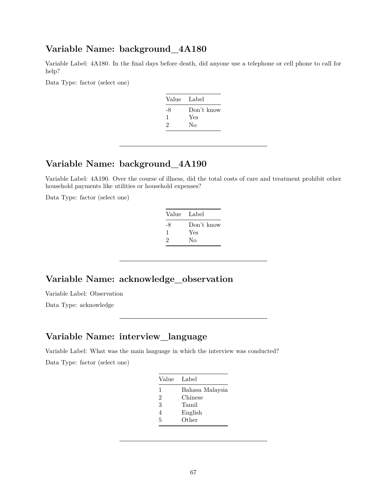#### **Variable Name: background\_4A180**

Variable Label: 4A180. In the final days before death, did anyone use a telephone or cell phone to call for help?

Data Type: factor (select one)

| Value Label |            |
|-------------|------------|
| -8          | Don't know |
| 1           | Yes        |
| 2           | Nο         |
|             |            |

## **Variable Name: background\_4A190**

Variable Label: 4A190. Over the course of illness, did the total costs of care and treatment prohibit other household payments like utilities or household expenses?

Data Type: factor (select one)

| Value Label |            |
|-------------|------------|
| -8          | Don't know |
| 1           | Yes        |
| 2           | No         |
|             |            |

#### **Variable Name: acknowledge\_observation**

Variable Label: Observation Data Type: acknowledge

#### **Variable Name: interview\_language**

Variable Label: What was the main language in which the interview was conducted? Data Type: factor (select one)

| Bahasa Malaysia<br>1<br>2<br>Chinese<br>3<br>Tamil | Value | Label |
|----------------------------------------------------|-------|-------|
|                                                    |       |       |
|                                                    |       |       |
|                                                    |       |       |
| English<br>4                                       |       |       |
| Other<br>5                                         |       |       |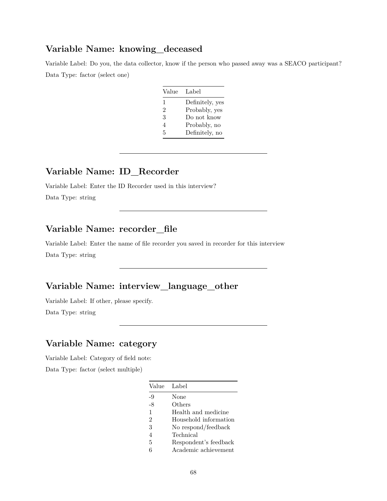#### **Variable Name: knowing\_deceased**

Variable Label: Do you, the data collector, know if the person who passed away was a SEACO participant? Data Type: factor (select one)

| Value | Label           |
|-------|-----------------|
| 1     | Definitely, yes |
| 2     | Probably, yes   |
| 3     | Do not know     |
| 4     | Probably, no    |
| 5     | Definitely, no  |

## **Variable Name: ID\_Recorder**

Variable Label: Enter the ID Recorder used in this interview? Data Type: string

## **Variable Name: recorder\_file**

Variable Label: Enter the name of file recorder you saved in recorder for this interview Data Type: string

## **Variable Name: interview\_language\_other**

Variable Label: If other, please specify. Data Type: string

## **Variable Name: category**

Variable Label: Category of field note:

|               | Value Label           |
|---------------|-----------------------|
| -9            | None                  |
| -8            | Others                |
| $\mathbf{1}$  | Health and medicine   |
| $\mathcal{D}$ | Household information |
| 3             | No respond/feedback   |
| 4             | Technical             |
| 5             | Respondent's feedback |
| 6             | Academic achievement  |
|               |                       |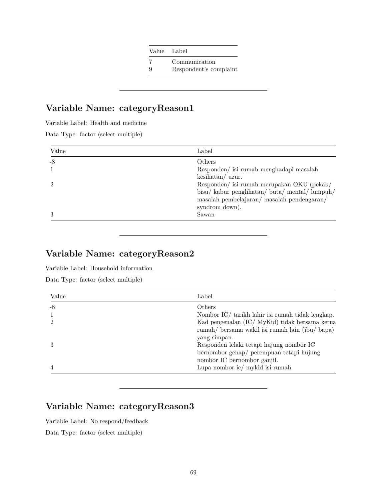|   | Value Label            |
|---|------------------------|
|   | Communication          |
| 9 | Respondent's complaint |

## **Variable Name: categoryReason1**

Variable Label: Health and medicine

Data Type: factor (select multiple)

| Label                                      |
|--------------------------------------------|
| Others                                     |
| Responden/ isi rumah menghadapi masalah    |
| $keshatan/$ uzur.                          |
| Responden/ isi rumah merupakan OKU (pekak/ |
| bisu/kabur penglihatan/buta/mental/lumpuh/ |
| masalah pembelajaran/masalah pendengaran/  |
| syndrom down).                             |
| Sawan                                      |
|                                            |

## **Variable Name: categoryReason2**

Variable Label: Household information

Data Type: factor (select multiple)

| Value          | Label                                                                                                                               |
|----------------|-------------------------------------------------------------------------------------------------------------------------------------|
| $-8$           | Others                                                                                                                              |
|                | Nombor IC/ tarikh lahir isi rumah tidak lengkap.                                                                                    |
| $\mathcal{D}$  | Kad pengenalan (IC/ MyKid) tidak bersama ketua<br>rumah/ bersama wakil isi rumah lain (ibu/ bapa)                                   |
|                | yang simpan.<br>Responden lelaki tetapi hujung nombor IC<br>bernombor genap/ perempuan tetapi hujung<br>nombor IC bernombor ganjil. |
| $\overline{4}$ | Lupa nombor ic/ mykid isi rumah.                                                                                                    |

# **Variable Name: categoryReason3**

Variable Label: No respond/feedback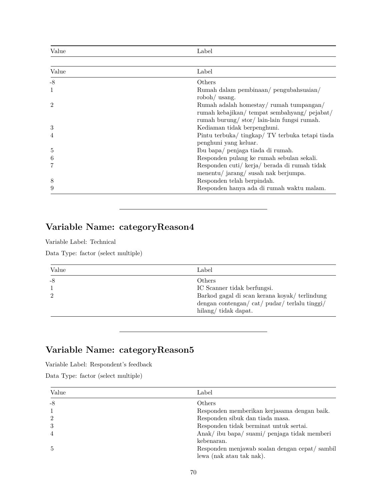| Value          | Label                                                                                                                             |
|----------------|-----------------------------------------------------------------------------------------------------------------------------------|
|                |                                                                                                                                   |
| Value          | Label                                                                                                                             |
| $-8$           | Others                                                                                                                            |
| 1              | Rumah dalam pembinaan/ pengubahsuaian/<br>roboh/ usang.                                                                           |
| $\overline{2}$ | Rumah adalah homestay/rumah tumpangan/<br>rumah kebajikan/tempat sembahyang/pejabat/<br>rumah burung/stor/lain-lain fungsi rumah. |
| 3              | Kediaman tidak berpenghuni.                                                                                                       |
| 4              | Pintu terbuka/tingkap/TV terbuka tetapi tiada<br>penghuni yang keluar.                                                            |
| 5              | Ibu bapa/ penjaga tiada di rumah.                                                                                                 |
| 6              | Responden pulang ke rumah sebulan sekali.                                                                                         |
|                | Responden cuti/ kerja/ berada di rumah tidak<br>menentu/ jarang/ susah nak berjumpa.                                              |
| 8              | Responden telah berpindah.                                                                                                        |
| 9              | Responden hanya ada di rumah waktu malam.                                                                                         |

# **Variable Name: categoryReason4**

Variable Label: Technical

Data Type: factor (select multiple)

| Value | Label                                                                                                                                                              |
|-------|--------------------------------------------------------------------------------------------------------------------------------------------------------------------|
| -8    | Others<br>IC Scanner tidak berfungsi.<br>Barkod gagal di scan kerana koyak/ terlindung<br>dengan contengan/ $cat/$ pudar/ $terlalu$ tinggi/<br>hilang/tidak dapat. |

# **Variable Name: categoryReason5**

Variable Label: Respondent's feedback

| Value | Label                                         |
|-------|-----------------------------------------------|
| -8    | <b>Others</b>                                 |
|       | Responden memberikan kerjasama dengan baik.   |
| 2     | Responden sibuk dan tiada masa.               |
| 3     | Responden tidak berminat untuk sertai.        |
|       | Anak/ibu bapa/suami/penjaga tidak memberi     |
|       | kebenaran.                                    |
| 5.    | Responden menjawab soalan dengan cepat/sambil |
|       | lewa (nak atau tak nak).                      |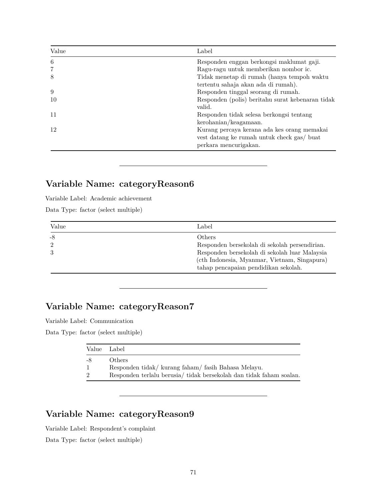| Value | Label                                            |
|-------|--------------------------------------------------|
| 6     | Responden enggan berkongsi maklumat gaji.        |
| 7     | Ragu-ragu untuk memberikan nombor ic.            |
| 8     | Tidak menetap di rumah (hanya tempoh waktu       |
|       | tertentu sahaja akan ada di rumah).              |
| 9     | Responden tinggal seorang di rumah.              |
| 10    | Responden (polis) beritahu surat kebenaran tidak |
|       | valid.                                           |
| 11    | Responden tidak selesa berkongsi tentang         |
|       | kerohanian/keagamaan.                            |
| 12    | Kurang percaya kerana ada kes orang memakai      |
|       | vest datang ke rumah untuk check gas/ buat       |
|       | perkara mencurigakan.                            |

# **Variable Name: categoryReason6**

Variable Label: Academic achievement

Data Type: factor (select multiple)

| Value | Label                                         |
|-------|-----------------------------------------------|
| -8    | Others                                        |
|       | Responden bersekolah di sekolah persendirian. |
|       | Responden bersekolah di sekolah luar Malaysia |
|       | (cth Indonesia, Myanmar, Vietnam, Singapura)  |
|       | tahap pencapaian pendidikan sekolah.          |

# **Variable Name: categoryReason7**

Variable Label: Communication

Data Type: factor (select multiple)

| Value          | Label                                                               |
|----------------|---------------------------------------------------------------------|
| -8             | Others                                                              |
| 1              | Respondentidak/kurang faham/fasih Bahasa Melayu.                    |
| $\overline{2}$ | Responden terlalu berusia/ tidak bersekolah dan tidak faham soalan. |

# **Variable Name: categoryReason9**

Variable Label: Respondent's complaint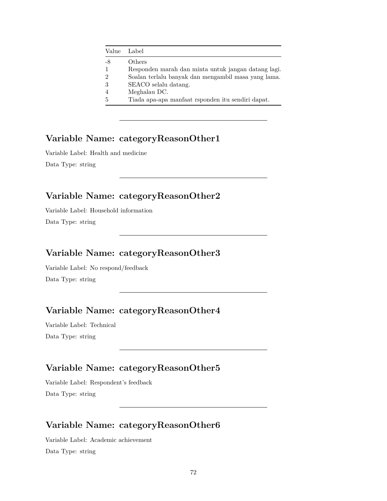| Value | Label                                               |
|-------|-----------------------------------------------------|
| -8    | Others                                              |
|       | Responden marah dan minta untuk jangan datang lagi. |
| 2     | Soalan terlalu banyak dan mengambil masa yang lama. |
| 3     | SEACO selalu datang.                                |
|       | Meghalau DC.                                        |
| 5     | Tiada apa-apa manfaat rsponden itu sendiri dapat.   |

# **Variable Name: categoryReasonOther1**

Variable Label: Health and medicine Data Type: string

# **Variable Name: categoryReasonOther2**

Variable Label: Household information Data Type: string

## **Variable Name: categoryReasonOther3**

Variable Label: No respond/feedback Data Type: string

# **Variable Name: categoryReasonOther4**

Variable Label: Technical Data Type: string

# **Variable Name: categoryReasonOther5**

Variable Label: Respondent's feedback Data Type: string

# **Variable Name: categoryReasonOther6**

Variable Label: Academic achievement Data Type: string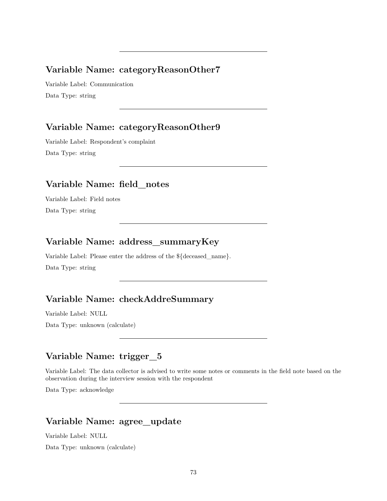#### **Variable Name: categoryReasonOther7**

Variable Label: Communication Data Type: string

## **Variable Name: categoryReasonOther9**

Variable Label: Respondent's complaint Data Type: string

### **Variable Name: field\_notes**

Variable Label: Field notes Data Type: string

## **Variable Name: address\_summaryKey**

Variable Label: Please enter the address of the \${deceased\_name}. Data Type: string

### **Variable Name: checkAddreSummary**

Variable Label: NULL

Data Type: unknown (calculate)

### **Variable Name: trigger\_5**

Variable Label: The data collector is advised to write some notes or comments in the field note based on the observation during the interview session with the respondent

Data Type: acknowledge

#### **Variable Name: agree\_update**

Variable Label: NULL

Data Type: unknown (calculate)